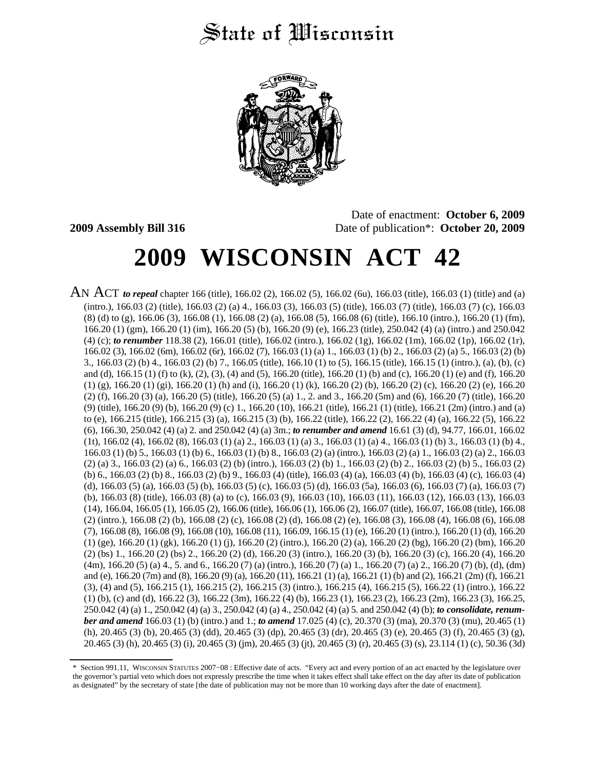# State of Wisconsin



Date of enactment: **October 6, 2009 2009 Assembly Bill 316** Date of publication\*: **October 20, 2009**

# **2009 WISCONSIN ACT 42**

AN ACT *to repeal* chapter 166 (title), 166.02 (2), 166.02 (5), 166.02 (6u), 166.03 (title), 166.03 (1) (title) and (a) (intro.), 166.03 (2) (title), 166.03 (2) (a) 4., 166.03 (3), 166.03 (5) (title), 166.03 (7) (title), 166.03 (7) (c), 166.03 (8) (d) to (g), 166.06 (3), 166.08 (1), 166.08 (2) (a), 166.08 (5), 166.08 (6) (title), 166.10 (intro.), 166.20 (1) (fm), 166.20 (1) (gm), 166.20 (1) (im), 166.20 (5) (b), 166.20 (9) (e), 166.23 (title), 250.042 (4) (a) (intro.) and 250.042 (4) (c); *to renumber* 118.38 (2), 166.01 (title), 166.02 (intro.), 166.02 (1g), 166.02 (1m), 166.02 (1p), 166.02 (1r), 166.02 (3), 166.02 (6m), 166.02 (6r), 166.02 (7), 166.03 (1) (a) 1., 166.03 (1) (b) 2., 166.03 (2) (a) 5., 166.03 (2) (b) 3., 166.03 (2) (b) 4., 166.03 (2) (b) 7., 166.05 (title), 166.10 (1) to (5), 166.15 (title), 166.15 (1) (intro.), (a), (b), (c) and (d), 166.15 (1) (f) to (k), (2), (3), (4) and (5), 166.20 (title), 166.20 (1) (b) and (c), 166.20 (1) (e) and (f), 166.20  $(1)$  (g), 166.20 (1) (gi), 166.20 (1) (h) and (i), 166.20 (1) (k), 166.20 (2) (b), 166.20 (2) (c), 166.20 (2) (e), 166.20 (2) (f), 166.20 (3) (a), 166.20 (5) (title), 166.20 (5) (a) 1., 2. and 3., 166.20 (5m) and (6), 166.20 (7) (title), 166.20 (9) (title), 166.20 (9) (b), 166.20 (9) (c) 1., 166.20 (10), 166.21 (title), 166.21 (1) (title), 166.21 (2m) (intro.) and (a) to (e), 166.215 (title), 166.215 (3) (a), 166.215 (3) (b), 166.22 (title), 166.22 (2), 166.22 (4) (a), 166.22 (5), 166.22 (6), 166.30, 250.042 (4) (a) 2. and 250.042 (4) (a) 3m.; *to renumber and amend* 16.61 (3) (d), 94.77, 166.01, 166.02 (1t), 166.02 (4), 166.02 (8), 166.03 (1) (a) 2., 166.03 (1) (a) 3., 166.03 (1) (a) 4., 166.03 (1) (b) 3., 166.03 (1) (b) 4., 166.03 (1) (b) 5., 166.03 (1) (b) 6., 166.03 (1) (b) 8., 166.03 (2) (a) (intro.), 166.03 (2) (a) 1., 166.03 (2) (a) 2., 166.03 (2) (a) 3., 166.03 (2) (a) 6., 166.03 (2) (b) (intro.), 166.03 (2) (b) 1., 166.03 (2) (b) 2., 166.03 (2) (b) 5., 166.03 (2) (b) 6., 166.03 (2) (b) 8., 166.03 (2) (b) 9., 166.03 (4) (title), 166.03 (4) (a), 166.03 (4) (b), 166.03 (4) (c), 166.03 (4) (d), 166.03 (5) (a), 166.03 (5) (b), 166.03 (5) (c), 166.03 (5) (d), 166.03 (5a), 166.03 (6), 166.03 (7) (a), 166.03 (7) (b), 166.03 (8) (title), 166.03 (8) (a) to (c), 166.03 (9), 166.03 (10), 166.03 (11), 166.03 (12), 166.03 (13), 166.03 (14), 166.04, 166.05 (1), 166.05 (2), 166.06 (title), 166.06 (1), 166.06 (2), 166.07 (title), 166.07, 166.08 (title), 166.08 (2) (intro.), 166.08 (2) (b), 166.08 (2) (c), 166.08 (2) (d), 166.08 (2) (e), 166.08 (3), 166.08 (4), 166.08 (6), 166.08 (7), 166.08 (8), 166.08 (9), 166.08 (10), 166.08 (11), 166.09, 166.15 (1) (e), 166.20 (1) (intro.), 166.20 (1) (d), 166.20  $(1)$  (ge), 166.20  $(1)$  (gk), 166.20  $(1)$  (j), 166.20  $(2)$  (intro.), 166.20  $(2)$  (a), 166.20  $(2)$  (bg), 166.20  $(2)$  (bm), 166.20 (2) (bs) 1., 166.20 (2) (bs) 2., 166.20 (2) (d), 166.20 (3) (intro.), 166.20 (3) (b), 166.20 (3) (c), 166.20 (4), 166.20 (4m), 166.20 (5) (a) 4., 5. and 6., 166.20 (7) (a) (intro.), 166.20 (7) (a) 1., 166.20 (7) (a) 2., 166.20 (7) (b), (d), (dm) and (e), 166.20 (7m) and (8), 166.20 (9) (a), 166.20 (11), 166.21 (1) (a), 166.21 (1) (b) and (2), 166.21 (2m) (f), 166.21 (3), (4) and (5), 166.215 (1), 166.215 (2), 166.215 (3) (intro.), 166.215 (4), 166.215 (5), 166.22 (1) (intro.), 166.22  $(1)$  (b), (c) and (d), 166.22 (3), 166.22 (3m), 166.22 (4) (b), 166.23 (1), 166.23 (2), 166.23 (2m), 166.23 (3), 166.25, 250.042 (4) (a) 1., 250.042 (4) (a) 3., 250.042 (4) (a) 4., 250.042 (4) (a) 5. and 250.042 (4) (b); *to consolidate, renumber and amend* 166.03 (1) (b) (intro.) and 1.; *to amend* 17.025 (4) (c), 20.370 (3) (ma), 20.370 (3) (mu), 20.465 (1) (h), 20.465 (3) (b), 20.465 (3) (dd), 20.465 (3) (dp), 20.465 (3) (dr), 20.465 (3) (e), 20.465 (3) (f), 20.465 (3) (g), 20.465 (3) (h), 20.465 (3) (i), 20.465 (3) (jm), 20.465 (3) (jt), 20.465 (3) (r), 20.465 (3) (s), 23.114 (1) (c), 50.36 (3d)

<sup>\*</sup> Section 991.11, WISCONSIN STATUTES 2007−08 : Effective date of acts. "Every act and every portion of an act enacted by the legislature over the governor's partial veto which does not expressly prescribe the time when it takes effect shall take effect on the day after its date of publication as designated" by the secretary of state [the date of publication may not be more than 10 working days after the date of enactment].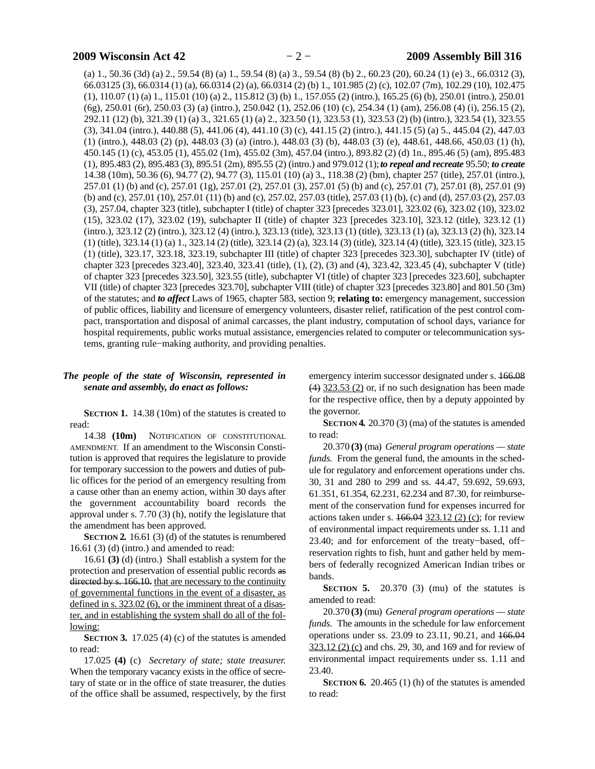(a) 1., 50.36 (3d) (a) 2., 59.54 (8) (a) 1., 59.54 (8) (a) 3., 59.54 (8) (b) 2., 60.23 (20), 60.24 (1) (e) 3., 66.0312 (3), 66.03125 (3), 66.0314 (1) (a), 66.0314 (2) (a), 66.0314 (2) (b) 1., 101.985 (2) (c), 102.07 (7m), 102.29 (10), 102.475 (1), 110.07 (1) (a) 1., 115.01 (10) (a) 2., 115.812 (3) (b) 1., 157.055 (2) (intro.), 165.25 (6) (b), 250.01 (intro.), 250.01 (6g), 250.01 (6r), 250.03 (3) (a) (intro.), 250.042 (1), 252.06 (10) (c), 254.34 (1) (am), 256.08 (4) (i), 256.15 (2), 292.11 (12) (b), 321.39 (1) (a) 3., 321.65 (1) (a) 2., 323.50 (1), 323.53 (1), 323.53 (2) (b) (intro.), 323.54 (1), 323.55 (3), 341.04 (intro.), 440.88 (5), 441.06 (4), 441.10 (3) (c), 441.15 (2) (intro.), 441.15 (5) (a) 5., 445.04 (2), 447.03 (1) (intro.), 448.03 (2) (p), 448.03 (3) (a) (intro.), 448.03 (3) (b), 448.03 (3) (e), 448.61, 448.66, 450.03 (1) (h), 450.145 (1) (c), 453.05 (1), 455.02 (1m), 455.02 (3m), 457.04 (intro.), 893.82 (2) (d) 1n., 895.46 (5) (am), 895.483 (1), 895.483 (2), 895.483 (3), 895.51 (2m), 895.55 (2) (intro.) and 979.012 (1);*to repeal and recreate* 95.50; *to create* 14.38 (10m), 50.36 (6), 94.77 (2), 94.77 (3), 115.01 (10) (a) 3., 118.38 (2) (bm), chapter 257 (title), 257.01 (intro.), 257.01 (1) (b) and (c), 257.01 (1g), 257.01 (2), 257.01 (3), 257.01 (5) (b) and (c), 257.01 (7), 257.01 (8), 257.01 (9) (b) and (c), 257.01 (10), 257.01 (11) (b) and (c), 257.02, 257.03 (title), 257.03 (1) (b), (c) and (d), 257.03 (2), 257.03 (3), 257.04, chapter 323 (title), subchapter I (title) of chapter 323 [precedes 323.01], 323.02 (6), 323.02 (10), 323.02 (15), 323.02 (17), 323.02 (19), subchapter II (title) of chapter 323 [precedes 323.10], 323.12 (title), 323.12 (1) (intro.), 323.12 (2) (intro.), 323.12 (4) (intro.), 323.13 (title), 323.13 (1) (title), 323.13 (1) (a), 323.13 (2) (h), 323.14 (1) (title), 323.14 (1) (a) 1., 323.14 (2) (title), 323.14 (2) (a), 323.14 (3) (title), 323.14 (4) (title), 323.15 (title), 323.15 (1) (title), 323.17, 323.18, 323.19, subchapter III (title) of chapter 323 [precedes 323.30], subchapter IV (title) of chapter 323 [precedes 323.40], 323.40, 323.41 (title), (1), (2), (3) and (4), 323.42, 323.45 (4), subchapter V (title) of chapter 323 [precedes 323.50], 323.55 (title), subchapter VI (title) of chapter 323 [precedes 323.60], subchapter VII (title) of chapter 323 [precedes 323.70], subchapter VIII (title) of chapter 323 [precedes 323.80] and 801.50 (3m) of the statutes; and *to affect* Laws of 1965, chapter 583, section 9; **relating to:** emergency management, succession of public offices, liability and licensure of emergency volunteers, disaster relief, ratification of the pest control compact, transportation and disposal of animal carcasses, the plant industry, computation of school days, variance for hospital requirements, public works mutual assistance, emergencies related to computer or telecommunication systems, granting rule−making authority, and providing penalties.

### *The people of the state of Wisconsin, represented in senate and assembly, do enact as follows:*

**SECTION 1.** 14.38 (10m) of the statutes is created to read:

14.38 **(10m)** NOTIFICATION OF CONSTITUTIONAL AMENDMENT. If an amendment to the Wisconsin Constitution is approved that requires the legislature to provide for temporary succession to the powers and duties of public offices for the period of an emergency resulting from a cause other than an enemy action, within 30 days after the government accountability board records the approval under s. 7.70 (3) (h), notify the legislature that the amendment has been approved.

**SECTION 2.** 16.61 (3) (d) of the statutes is renumbered 16.61 (3) (d) (intro.) and amended to read:

16.61 **(3)** (d) (intro.) Shall establish a system for the protection and preservation of essential public records as directed by s. 166.10. that are necessary to the continuity of governmental functions in the event of a disaster, as defined in s. 323.02 (6), or the imminent threat of a disaster, and in establishing the system shall do all of the following:

**SECTION 3.** 17.025 (4) (c) of the statutes is amended to read:

17.025 **(4)** (c) *Secretary of state; state treasurer.* When the temporary vacancy exists in the office of secretary of state or in the office of state treasurer, the duties of the office shall be assumed, respectively, by the first emergency interim successor designated under s. 166.08  $(4)$  323.53 (2) or, if no such designation has been made for the respective office, then by a deputy appointed by the governor.

**SECTION 4.** 20.370 (3) (ma) of the statutes is amended to read:

20.370 **(3)** (ma) *General program operations — state funds.* From the general fund, the amounts in the schedule for regulatory and enforcement operations under chs. 30, 31 and 280 to 299 and ss. 44.47, 59.692, 59.693, 61.351, 61.354, 62.231, 62.234 and 87.30, for reimbursement of the conservation fund for expenses incurred for actions taken under s.  $166.04$  323.12 (2) (c); for review of environmental impact requirements under ss. 1.11 and 23.40; and for enforcement of the treaty-based, offreservation rights to fish, hunt and gather held by members of federally recognized American Indian tribes or bands.

**SECTION 5.** 20.370 (3) (mu) of the statutes is amended to read:

20.370 **(3)** (mu) *General program operations — state funds.* The amounts in the schedule for law enforcement operations under ss. 23.09 to 23.11, 90.21, and 166.04 323.12 (2) (c) and chs. 29, 30, and 169 and for review of environmental impact requirements under ss. 1.11 and 23.40.

**SECTION 6.** 20.465 (1) (h) of the statutes is amended to read: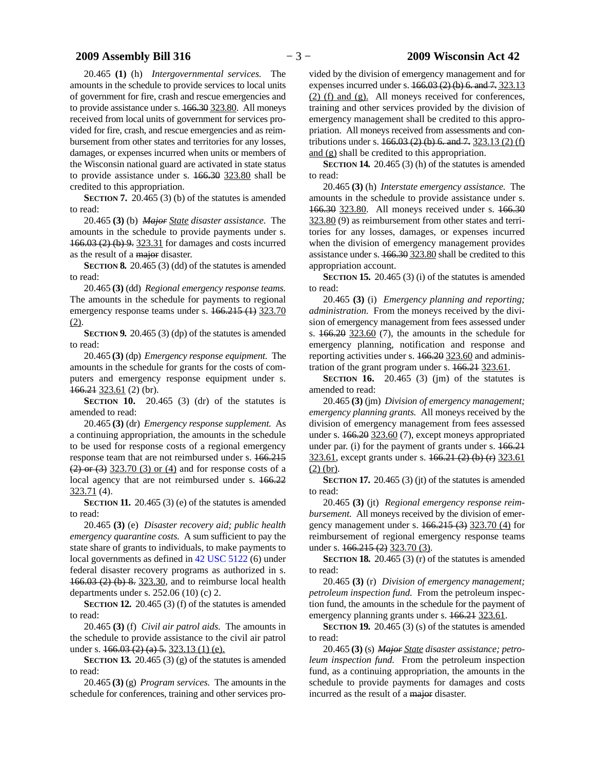### **2009 Assembly Bill 316** − 3 − **2009 Wisconsin Act 42**

20.465 **(1)** (h) *Intergovernmental services.* The amounts in the schedule to provide services to local units of government for fire, crash and rescue emergencies and to provide assistance under s. 166.30 323.80. All moneys received from local units of government for services provided for fire, crash, and rescue emergencies and as reimbursement from other states and territories for any losses, damages, or expenses incurred when units or members of the Wisconsin national guard are activated in state status to provide assistance under s. 166.30 323.80 shall be credited to this appropriation.

**SECTION 7.** 20.465 (3) (b) of the statutes is amended to read:

20.465 **(3)** (b) *Major State disaster assistance.* The amounts in the schedule to provide payments under s. 166.03 (2) (b) 9. 323.31 for damages and costs incurred as the result of a major disaster.

**SECTION 8.** 20.465 (3) (dd) of the statutes is amended to read:

20.465 **(3)** (dd) *Regional emergency response teams.* The amounts in the schedule for payments to regional emergency response teams under s.  $166.215(1)$  323.70  $(2).$ 

**SECTION 9.** 20.465 (3) (dp) of the statutes is amended to read:

20.465 **(3)** (dp) *Emergency response equipment.* The amounts in the schedule for grants for the costs of computers and emergency response equipment under s. 166.21 323.61 (2) (br).

**SECTION 10.** 20.465 (3) (dr) of the statutes is amended to read:

20.465 **(3)** (dr) *Emergency response supplement.* As a continuing appropriation, the amounts in the schedule to be used for response costs of a regional emergency response team that are not reimbursed under s. 166.215  $(2)$  or  $(3)$  323.70  $(3)$  or  $(4)$  and for response costs of a local agency that are not reimbursed under s. 166.22 323.71 (4).

**SECTION 11.** 20.465 (3) (e) of the statutes is amended to read:

20.465 **(3)** (e) *Disaster recovery aid; public health emergency quarantine costs.* A sum sufficient to pay the state share of grants to individuals, to make payments to local governments as defined in [42 USC 5122](https://docs.legis.wisconsin.gov/document/usc/42%20USC%205122) (6) under federal disaster recovery programs as authorized in s. 166.03 (2) (b) 8. 323.30, and to reimburse local health departments under s. 252.06 (10) (c) 2.

**SECTION 12.** 20.465 (3) (f) of the statutes is amended to read:

20.465 **(3)** (f) *Civil air patrol aids.* The amounts in the schedule to provide assistance to the civil air patrol under s. 166.03 (2) (a) 5. 323.13 (1) (e).

**SECTION 13.** 20.465 (3) (g) of the statutes is amended to read:

20.465 **(3)** (g) *Program services.* The amounts in the schedule for conferences, training and other services pro-

vided by the division of emergency management and for expenses incurred under s. 166.03 (2) (b) 6. and 7. 323.13 (2) (f) and (g). All moneys received for conferences, training and other services provided by the division of emergency management shall be credited to this appropriation. All moneys received from assessments and contributions under s.  $166.03$  (2) (b) 6. and 7. 323.13 (2) (f) and (g) shall be credited to this appropriation.

**SECTION 14.** 20.465 (3) (h) of the statutes is amended to read:

20.465 **(3)** (h) *Interstate emergency assistance.* The amounts in the schedule to provide assistance under s. 166.30 323.80. All moneys received under s. 166.30 323.80 (9) as reimbursement from other states and territories for any losses, damages, or expenses incurred when the division of emergency management provides assistance under s. 166.30 323.80 shall be credited to this appropriation account.

**SECTION 15.** 20.465 (3) (i) of the statutes is amended to read:

20.465 **(3)** (i) *Emergency planning and reporting; administration.* From the moneys received by the division of emergency management from fees assessed under s. 166.20 323.60 (7), the amounts in the schedule for emergency planning, notification and response and reporting activities under s. 166.20 323.60 and administration of the grant program under s.  $166.21$  323.61.

**SECTION** 16. 20.465 (3) (jm) of the statutes is amended to read:

20.465 **(3)** (jm) *Division of emergency management; emergency planning grants.* All moneys received by the division of emergency management from fees assessed under s. 166.20 323.60 (7), except moneys appropriated under par. (i) for the payment of grants under s. 166.21 323.61, except grants under s. 166.21 (2) (b) (r) 323.61  $(2)$  (br).

**SECTION 17.** 20.465 (3) (jt) of the statutes is amended to read:

20.465 **(3)** (jt) *Regional emergency response reimbursement.* All moneys received by the division of emergency management under s. 166.215 (3) 323.70 (4) for reimbursement of regional emergency response teams under s. 166.215 (2) 323.70 (3).

**SECTION 18.** 20.465 (3) (r) of the statutes is amended to read:

20.465 **(3)** (r) *Division of emergency management; petroleum inspection fund.* From the petroleum inspection fund, the amounts in the schedule for the payment of emergency planning grants under s. 166.21 323.61.

**SECTION 19.** 20.465 (3) (s) of the statutes is amended to read:

20.465 **(3)** (s) *Major State disaster assistance; petroleum inspection fund.* From the petroleum inspection fund, as a continuing appropriation, the amounts in the schedule to provide payments for damages and costs incurred as the result of a major disaster.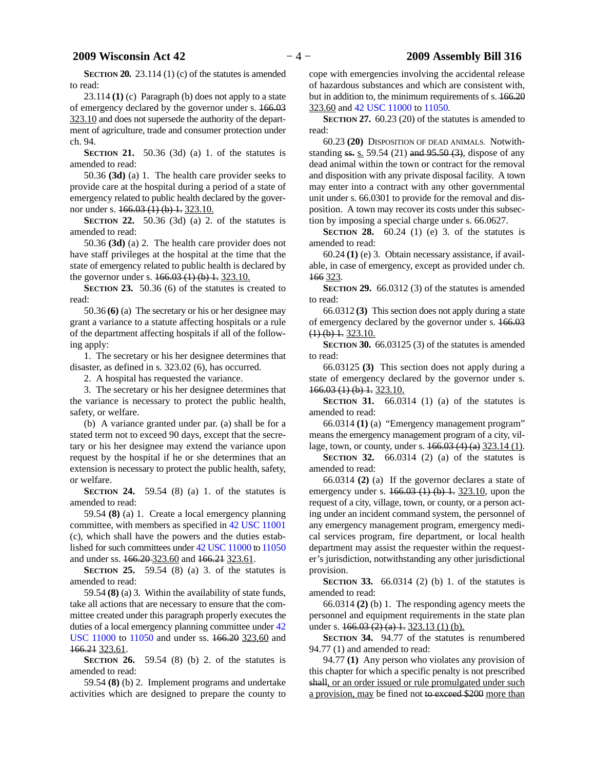**SECTION 20.** 23.114 (1) (c) of the statutes is amended to read:

23.114 **(1)** (c) Paragraph (b) does not apply to a state of emergency declared by the governor under s. 166.03 323.10 and does not supersede the authority of the department of agriculture, trade and consumer protection under ch. 94.

**SECTION 21.** 50.36 (3d) (a) 1. of the statutes is amended to read:

50.36 **(3d)** (a) 1. The health care provider seeks to provide care at the hospital during a period of a state of emergency related to public health declared by the governor under s.  $166.03(1)(b)$  1. 323.10.

**SECTION 22.** 50.36 (3d) (a) 2. of the statutes is amended to read:

50.36 **(3d)** (a) 2. The health care provider does not have staff privileges at the hospital at the time that the state of emergency related to public health is declared by the governor under s.  $166.03(1)(b)$  1. 323.10.

**SECTION** 23. 50.36 (6) of the statutes is created to read:

50.36 **(6)** (a) The secretary or his or her designee may grant a variance to a statute affecting hospitals or a rule of the department affecting hospitals if all of the following apply:

1. The secretary or his her designee determines that disaster, as defined in s. 323.02 (6), has occurred.

2. A hospital has requested the variance.

3. The secretary or his her designee determines that the variance is necessary to protect the public health, safety, or welfare.

(b) A variance granted under par. (a) shall be for a stated term not to exceed 90 days, except that the secretary or his her designee may extend the variance upon request by the hospital if he or she determines that an extension is necessary to protect the public health, safety, or welfare.

**SECTION 24.** 59.54 (8) (a) 1. of the statutes is amended to read:

59.54 **(8)** (a) 1. Create a local emergency planning committee, with members as specified in [42 USC 11001](https://docs.legis.wisconsin.gov/document/usc/42%20USC%2011001) (c), which shall have the powers and the duties established for such committees under [42 USC 11000](https://docs.legis.wisconsin.gov/document/usc/42%20USC%2011000) to [11050](https://docs.legis.wisconsin.gov/document/usc/42%20USC%2011050) and under ss. 166.20 323.60 and 166.21 323.61.

**SECTION 25.** 59.54 (8) (a) 3. of the statutes is amended to read:

59.54 **(8)** (a) 3. Within the availability of state funds, take all actions that are necessary to ensure that the committee created under this paragraph properly executes the duties of a local emergency planning committee under  $42$ [USC 11000](https://docs.legis.wisconsin.gov/document/usc/42%20USC%2011000) to [11050](https://docs.legis.wisconsin.gov/document/usc/42%20USC%2011050) and under ss. 166.20 323.60 and 166.21 323.61.

**SECTION 26.** 59.54 (8) (b) 2. of the statutes is amended to read:

59.54 **(8)** (b) 2. Implement programs and undertake activities which are designed to prepare the county to

cope with emergencies involving the accidental release of hazardous substances and which are consistent with, but in addition to, the minimum requirements of s. 166.20 323.60 and [42 USC 11000](https://docs.legis.wisconsin.gov/document/usc/42%20USC%2011000) to [11050](https://docs.legis.wisconsin.gov/document/usc/42%20USC%2011050).

**SECTION 27.** 60.23 (20) of the statutes is amended to read:

60.23 **(20)** DISPOSITION OF DEAD ANIMALS. Notwithstanding  $ss. s. 59.54 (21)$  and  $95.50 (3)$ , dispose of any dead animal within the town or contract for the removal and disposition with any private disposal facility. A town may enter into a contract with any other governmental unit under s. 66.0301 to provide for the removal and disposition. A town may recover its costs under this subsection by imposing a special charge under s. 66.0627.

**SECTION 28.** 60.24 (1) (e) 3. of the statutes is amended to read:

60.24 **(1)** (e) 3. Obtain necessary assistance, if available, in case of emergency, except as provided under ch. 166 323.

**SECTION 29.** 66.0312 (3) of the statutes is amended to read:

66.0312 **(3)** This section does not apply during a state of emergency declared by the governor under s. 166.03  $(1)$  (b) 1. 323.10.

**SECTION 30.** 66.03125 (3) of the statutes is amended to read:

66.03125 **(3)** This section does not apply during a state of emergency declared by the governor under s. 166.03 (1) (b) 1. 323.10.

**SECTION 31.** 66.0314 (1) (a) of the statutes is amended to read:

66.0314 **(1)** (a) "Emergency management program" means the emergency management program of a city, village, town, or county, under s. 166.03 (4) (a) 323.14 (1).

**SECTION 32.** 66.0314 (2) (a) of the statutes is amended to read:

66.0314 **(2)** (a) If the governor declares a state of emergency under s.  $166.03$  (1) (b) 1.  $323.10$ , upon the request of a city, village, town, or county, or a person acting under an incident command system, the personnel of any emergency management program, emergency medical services program, fire department, or local health department may assist the requester within the requester's jurisdiction, notwithstanding any other jurisdictional provision.

**SECTION 33.** 66.0314 (2) (b) 1. of the statutes is amended to read:

66.0314 **(2)** (b) 1. The responding agency meets the personnel and equipment requirements in the state plan under s.  $166.03(2)$  (a) 1. 323.13 (1) (b).

**SECTION 34.** 94.77 of the statutes is renumbered 94.77 (1) and amended to read:

94.77 **(1)** Any person who violates any provision of this chapter for which a specific penalty is not prescribed shall, or an order issued or rule promulgated under such a provision, may be fined not to exceed \$200 more than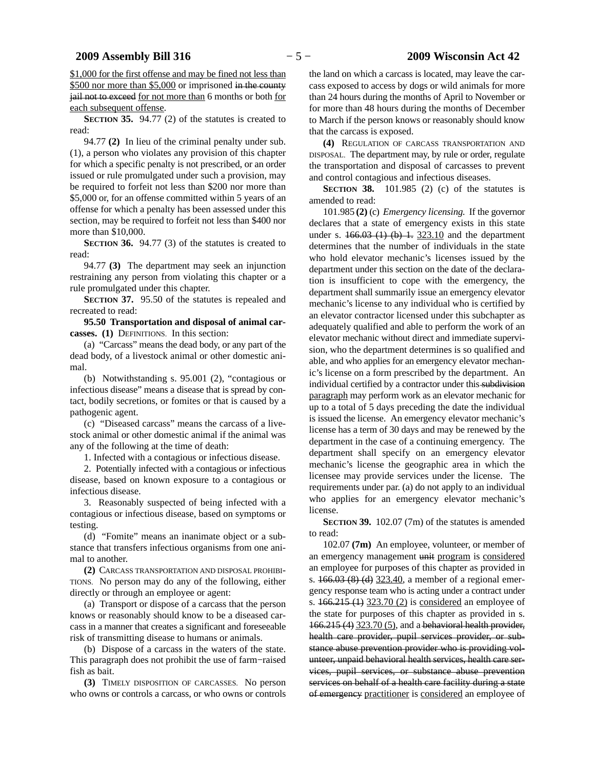\$1,000 for the first offense and may be fined not less than \$500 nor more than \$5,000 or imprisoned in the county jail not to exceed for not more than 6 months or both for each subsequent offense.

**SECTION 35.** 94.77 (2) of the statutes is created to read:

94.77 **(2)** In lieu of the criminal penalty under sub. (1), a person who violates any provision of this chapter for which a specific penalty is not prescribed, or an order issued or rule promulgated under such a provision, may be required to forfeit not less than \$200 nor more than \$5,000 or, for an offense committed within 5 years of an offense for which a penalty has been assessed under this section, may be required to forfeit not less than \$400 nor more than \$10,000.

**SECTION** 36. 94.77 (3) of the statutes is created to read:

94.77 **(3)** The department may seek an injunction restraining any person from violating this chapter or a rule promulgated under this chapter.

**SECTION 37.** 95.50 of the statutes is repealed and recreated to read:

**95.50 Transportation and disposal of animal carcasses. (1)** DEFINITIONS. In this section:

(a) "Carcass" means the dead body, or any part of the dead body, of a livestock animal or other domestic animal.

(b) Notwithstanding s. 95.001 (2), "contagious or infectious disease" means a disease that is spread by contact, bodily secretions, or fomites or that is caused by a pathogenic agent.

(c) "Diseased carcass" means the carcass of a livestock animal or other domestic animal if the animal was any of the following at the time of death:

1. Infected with a contagious or infectious disease.

2. Potentially infected with a contagious or infectious disease, based on known exposure to a contagious or infectious disease.

3. Reasonably suspected of being infected with a contagious or infectious disease, based on symptoms or testing.

(d) "Fomite" means an inanimate object or a substance that transfers infectious organisms from one animal to another.

**(2)** CARCASS TRANSPORTATION AND DISPOSAL PROHIBI-TIONS. No person may do any of the following, either directly or through an employee or agent:

(a) Transport or dispose of a carcass that the person knows or reasonably should know to be a diseased carcass in a manner that creates a significant and foreseeable risk of transmitting disease to humans or animals.

(b) Dispose of a carcass in the waters of the state. This paragraph does not prohibit the use of farm−raised fish as bait.

**(3)** TIMELY DISPOSITION OF CARCASSES. No person who owns or controls a carcass, or who owns or controls

the land on which a carcass is located, may leave the carcass exposed to access by dogs or wild animals for more than 24 hours during the months of April to November or for more than 48 hours during the months of December to March if the person knows or reasonably should know that the carcass is exposed.

**(4)** REGULATION OF CARCASS TRANSPORTATION AND DISPOSAL. The department may, by rule or order, regulate the transportation and disposal of carcasses to prevent and control contagious and infectious diseases.

**SECTION 38.** 101.985 (2) (c) of the statutes is amended to read:

101.985 **(2)** (c) *Emergency licensing.* If the governor declares that a state of emergency exists in this state under s.  $166.03$  (1) (b) 1.  $323.10$  and the department determines that the number of individuals in the state who hold elevator mechanic's licenses issued by the department under this section on the date of the declaration is insufficient to cope with the emergency, the department shall summarily issue an emergency elevator mechanic's license to any individual who is certified by an elevator contractor licensed under this subchapter as adequately qualified and able to perform the work of an elevator mechanic without direct and immediate supervision, who the department determines is so qualified and able, and who applies for an emergency elevator mechanic's license on a form prescribed by the department. An individual certified by a contractor under this subdivision paragraph may perform work as an elevator mechanic for up to a total of 5 days preceding the date the individual is issued the license. An emergency elevator mechanic's license has a term of 30 days and may be renewed by the department in the case of a continuing emergency. The department shall specify on an emergency elevator mechanic's license the geographic area in which the licensee may provide services under the license. The requirements under par. (a) do not apply to an individual who applies for an emergency elevator mechanic's license.

**SECTION 39.** 102.07 (7m) of the statutes is amended to read:

102.07 **(7m)** An employee, volunteer, or member of an emergency management unit program is considered an employee for purposes of this chapter as provided in s.  $166.03 (8)$  (d)  $323.40$ , a member of a regional emergency response team who is acting under a contract under s. 166.215 (1) 323.70 (2) is considered an employee of the state for purposes of this chapter as provided in s. 166.215 (4) 323.70 (5), and a behavioral health provider, health care provider, pupil services provider, or substance abuse prevention provider who is providing volunteer, unpaid behavioral health services, health care services, pupil services, or substance abuse prevention services on behalf of a health care facility during a state of emergency practitioner is considered an employee of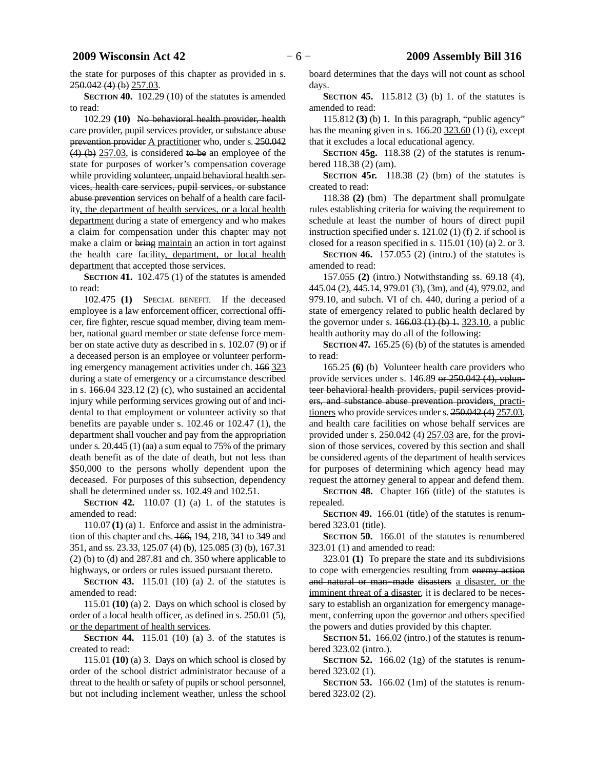the state for purposes of this chapter as provided in s. 250.042 (4) (b) 257.03.

**SECTION 40.** 102.29 (10) of the statutes is amended to read:

102.29 **(10)** No behavioral health provider, health care provider, pupil services provider, or substance abuse prevention provider A practitioner who, under s. 250.042  $(4)$  (b)  $257.03$ , is considered to be an employee of the state for purposes of worker's compensation coverage while providing volunteer, unpaid behavioral health services, health care services, pupil services, or substance abuse prevention services on behalf of a health care facility, the department of health services, or a local health department during a state of emergency and who makes a claim for compensation under this chapter may not make a claim or bring maintain an action in tort against the health care facility, department, or local health department that accepted those services.

**SECTION 41.** 102.475 (1) of the statutes is amended to read:

102.475 **(1)** SPECIAL BENEFIT. If the deceased employee is a law enforcement officer, correctional officer, fire fighter, rescue squad member, diving team member, national guard member or state defense force member on state active duty as described in s. 102.07 (9) or if a deceased person is an employee or volunteer performing emergency management activities under ch. 166 323 during a state of emergency or a circumstance described in s.  $166.04$   $323.12$  (2) (c), who sustained an accidental injury while performing services growing out of and incidental to that employment or volunteer activity so that benefits are payable under s. 102.46 or 102.47 (1), the department shall voucher and pay from the appropriation under s.  $20.445$  (1) (aa) a sum equal to 75% of the primary death benefit as of the date of death, but not less than \$50,000 to the persons wholly dependent upon the deceased. For purposes of this subsection, dependency shall be determined under ss. 102.49 and 102.51.

**SECTION 42.** 110.07 (1) (a) 1. of the statutes is amended to read:

110.07 **(1)** (a) 1. Enforce and assist in the administration of this chapter and chs. 166, 194, 218, 341 to 349 and 351, and ss. 23.33, 125.07 (4) (b), 125.085 (3) (b), 167.31 (2) (b) to (d) and 287.81 and ch. 350 where applicable to highways, or orders or rules issued pursuant thereto.

**SECTION 43.** 115.01 (10) (a) 2. of the statutes is amended to read:

115.01 **(10)** (a) 2. Days on which school is closed by order of a local health officer, as defined in s. 250.01 (5), or the department of health services.

**SECTION 44.** 115.01 (10) (a) 3. of the statutes is created to read:

115.01 **(10)** (a) 3. Days on which school is closed by order of the school district administrator because of a threat to the health or safety of pupils or school personnel, but not including inclement weather, unless the school

board determines that the days will not count as school days.

**SECTION 45.** 115.812 (3) (b) 1. of the statutes is amended to read:

115.812 **(3)** (b) 1. In this paragraph, "public agency" has the meaning given in s.  $\frac{166.20 \, 323.60}{1}$  (1) (i), except that it excludes a local educational agency.

**SECTION 45g.** 118.38 (2) of the statutes is renumbered 118.38 (2) (am).

**SECTION 45r.** 118.38 (2) (bm) of the statutes is created to read:

118.38 **(2)** (bm) The department shall promulgate rules establishing criteria for waiving the requirement to schedule at least the number of hours of direct pupil instruction specified under s. 121.02 (1) (f) 2. if school is closed for a reason specified in s.  $115.01$  (10) (a) 2. or 3.

**SECTION 46.** 157.055 (2) (intro.) of the statutes is amended to read:

157.055 **(2)** (intro.) Notwithstanding ss. 69.18 (4), 445.04 (2), 445.14, 979.01 (3), (3m), and (4), 979.02, and 979.10, and subch. VI of ch. 440, during a period of a state of emergency related to public health declared by the governor under s.  $166.03(1)$  (b) 1. 323.10, a public health authority may do all of the following:

**SECTION 47.** 165.25 (6) (b) of the statutes is amended to read:

165.25 **(6)** (b) Volunteer health care providers who provide services under s. 146.89 or 250.042 (4), volunteer behavioral health providers, pupil services providers, and substance abuse prevention providers, practitioners who provide services under s.  $250.042(4)$   $257.03$ , and health care facilities on whose behalf services are provided under s. 250.042 (4) 257.03 are, for the provision of those services, covered by this section and shall be considered agents of the department of health services for purposes of determining which agency head may request the attorney general to appear and defend them.

**SECTION 48.** Chapter 166 (title) of the statutes is repealed.

**SECTION 49.** 166.01 (title) of the statutes is renumbered 323.01 (title).

**SECTION 50.** 166.01 of the statutes is renumbered 323.01 (1) and amended to read:

323.01 **(1)** To prepare the state and its subdivisions to cope with emergencies resulting from enemy action and natural or man−made disasters a disaster, or the imminent threat of a disaster, it is declared to be necessary to establish an organization for emergency management, conferring upon the governor and others specified the powers and duties provided by this chapter.

**SECTION** 51. 166.02 (intro.) of the statutes is renumbered 323.02 (intro.).

**SECTION 52.** 166.02 (1g) of the statutes is renumbered 323.02 (1).

**SECTION** 53. 166.02 (1m) of the statutes is renumbered 323.02 (2).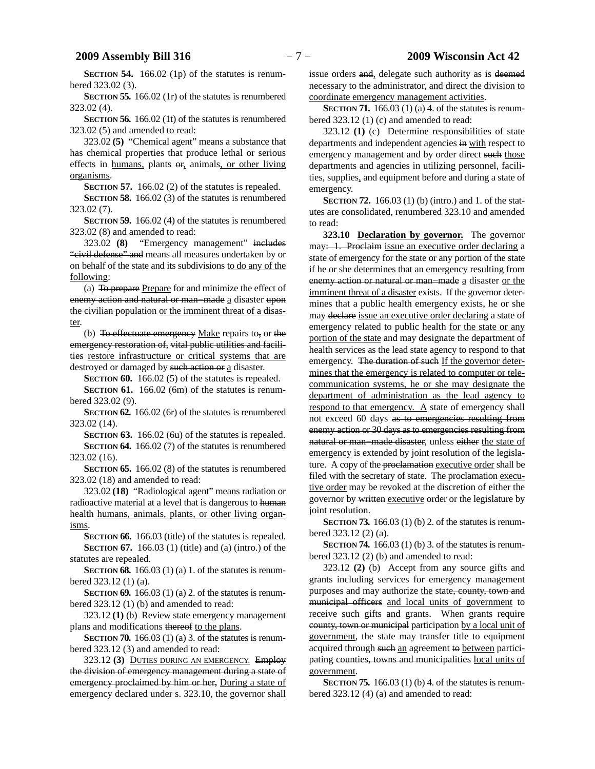**SECTION 54.** 166.02 (1p) of the statutes is renumbered 323.02 (3).

**SECTION 55.** 166.02 (1r) of the statutes is renumbered 323.02 (4).

**SECTION 56.** 166.02 (1t) of the statutes is renumbered 323.02 (5) and amended to read:

323.02 **(5)** "Chemical agent" means a substance that has chemical properties that produce lethal or serious effects in humans, plants or, animals, or other living organisms.

**SECTION 57.** 166.02 (2) of the statutes is repealed.

**SECTION 58.** 166.02 (3) of the statutes is renumbered 323.02 (7).

**SECTION 59.** 166.02 (4) of the statutes is renumbered 323.02 (8) and amended to read:

323.02 **(8)** "Emergency management" includes "civil defense" and means all measures undertaken by or on behalf of the state and its subdivisions to do any of the following:

(a) To prepare Prepare for and minimize the effect of enemy action and natural or man−made a disaster upon the civilian population or the imminent threat of a disaster.

(b) To effectuate emergency Make repairs to, or the emergency restoration of, vital public utilities and facilities restore infrastructure or critical systems that are destroyed or damaged by such action or a disaster.

**SECTION 60.** 166.02 (5) of the statutes is repealed.

**SECTION 61.** 166.02 (6m) of the statutes is renumbered 323.02 (9).

**SECTION 62.** 166.02 (6r) of the statutes is renumbered 323.02 (14).

**SECTION 63.** 166.02 (6u) of the statutes is repealed. **SECTION 64.** 166.02 (7) of the statutes is renumbered 323.02 (16).

**SECTION 65.** 166.02 (8) of the statutes is renumbered 323.02 (18) and amended to read:

323.02 **(18)** "Radiological agent" means radiation or radioactive material at a level that is dangerous to human health humans, animals, plants, or other living organisms.

**SECTION 66.** 166.03 (title) of the statutes is repealed. **SECTION 67.** 166.03 (1) (title) and (a) (intro.) of the statutes are repealed.

**SECTION 68.** 166.03 (1) (a) 1. of the statutes is renumbered 323.12 (1) (a).

**SECTION 69.** 166.03 (1) (a) 2. of the statutes is renumbered 323.12 (1) (b) and amended to read:

323.12 **(1)** (b) Review state emergency management plans and modifications thereof to the plans.

**SECTION 70.** 166.03 (1) (a) 3. of the statutes is renumbered 323.12 (3) and amended to read:

323.12 **(3)** DUTIES DURING AN EMERGENCY. Employ the division of emergency management during a state of emergency proclaimed by him or her, During a state of emergency declared under s. 323.10, the governor shall

issue orders and, delegate such authority as is deemed necessary to the administrator, and direct the division to coordinate emergency management activities.

**SECTION 71.** 166.03 (1) (a) 4. of the statutes is renumbered 323.12 (1) (c) and amended to read:

323.12 **(1)** (c) Determine responsibilities of state departments and independent agencies in with respect to emergency management and by order direct such those departments and agencies in utilizing personnel, facilities, supplies, and equipment before and during a state of emergency.

**SECTION 72.** 166.03 (1) (b) (intro.) and 1. of the statutes are consolidated, renumbered 323.10 and amended to read:

**323.10 Declaration by governor.** The governor may: 1. Proclaim issue an executive order declaring a state of emergency for the state or any portion of the state if he or she determines that an emergency resulting from enemy action or natural or man−made a disaster or the imminent threat of a disaster exists. If the governor determines that a public health emergency exists, he or she may declare issue an executive order declaring a state of emergency related to public health for the state or any portion of the state and may designate the department of health services as the lead state agency to respond to that emergency. The duration of such If the governor determines that the emergency is related to computer or telecommunication systems, he or she may designate the department of administration as the lead agency to respond to that emergency. A state of emergency shall not exceed 60 days as to emergencies resulting from enemy action or 30 days as to emergencies resulting from natural or man–made disaster, unless either the state of emergency is extended by joint resolution of the legislature. A copy of the proclamation executive order shall be filed with the secretary of state. The proclamation executive order may be revoked at the discretion of either the governor by written executive order or the legislature by joint resolution.

**SECTION 73.** 166.03 (1) (b) 2. of the statutes is renumbered 323.12 (2) (a).

**SECTION 74.** 166.03 (1) (b) 3. of the statutes is renumbered 323.12 (2) (b) and amended to read:

323.12 **(2)** (b) Accept from any source gifts and grants including services for emergency management purposes and may authorize the state, county, town and municipal officers and local units of government to receive such gifts and grants. When grants require county, town or municipal participation by a local unit of government, the state may transfer title to equipment acquired through such an agreement to between participating counties, towns and municipalities local units of government.

**SECTION 75.** 166.03 (1) (b) 4. of the statutes is renumbered 323.12 (4) (a) and amended to read: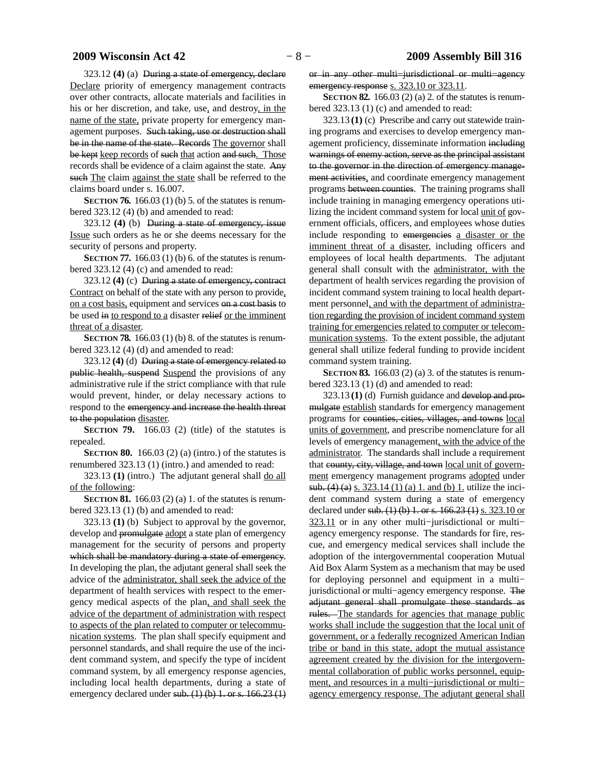323.12 **(4)** (a) During a state of emergency, declare Declare priority of emergency management contracts over other contracts, allocate materials and facilities in his or her discretion, and take, use, and destroy, in the name of the state, private property for emergency management purposes. Such taking, use or destruction shall be in the name of the state. Records The governor shall be kept keep records of such that action and such. Those records shall be evidence of a claim against the state. Any such The claim against the state shall be referred to the claims board under s. 16.007.

**SECTION 76.** 166.03 (1) (b) 5. of the statutes is renumbered 323.12 (4) (b) and amended to read:

323.12 **(4)** (b) During a state of emergency, issue Issue such orders as he or she deems necessary for the security of persons and property.

**SECTION 77.** 166.03 (1) (b) 6. of the statutes is renumbered 323.12 (4) (c) and amended to read:

323.12 **(4)** (c) During a state of emergency, contract Contract on behalf of the state with any person to provide, on a cost basis, equipment and services on a cost basis to be used in to respond to a disaster relief or the imminent threat of a disaster.

**SECTION 78.** 166.03 (1) (b) 8. of the statutes is renumbered 323.12 (4) (d) and amended to read:

323.12 **(4)** (d) During a state of emergency related to public health, suspend Suspend the provisions of any administrative rule if the strict compliance with that rule would prevent, hinder, or delay necessary actions to respond to the emergency and increase the health threat to the population disaster.

**SECTION 79.** 166.03 (2) (title) of the statutes is repealed.

**SECTION 80.** 166.03 (2) (a) (intro.) of the statutes is renumbered 323.13 (1) (intro.) and amended to read:

323.13 **(1)** (intro.) The adjutant general shall do all of the following:

**SECTION 81.** 166.03 (2) (a) 1. of the statutes is renumbered 323.13 (1) (b) and amended to read:

323.13 **(1)** (b) Subject to approval by the governor, develop and promulgate adopt a state plan of emergency management for the security of persons and property which shall be mandatory during a state of emergency. In developing the plan, the adjutant general shall seek the advice of the administrator, shall seek the advice of the department of health services with respect to the emergency medical aspects of the plan, and shall seek the advice of the department of administration with respect to aspects of the plan related to computer or telecommunication systems. The plan shall specify equipment and personnel standards, and shall require the use of the incident command system, and specify the type of incident command system, by all emergency response agencies, including local health departments, during a state of emergency declared under sub.  $(1)$  (b) 1. or s. 166.23 (1) or in any other multi−jurisdictional or multi−agency emergency response s. 323.10 or 323.11.

**SECTION 82.** 166.03 (2) (a) 2. of the statutes is renumbered 323.13 (1) (c) and amended to read:

323.13 **(1)** (c) Prescribe and carry out statewide training programs and exercises to develop emergency management proficiency, disseminate information including warnings of enemy action, serve as the principal assistant to the governor in the direction of emergency management activities, and coordinate emergency management programs between counties. The training programs shall include training in managing emergency operations utilizing the incident command system for local unit of government officials, officers, and employees whose duties include responding to emergencies a disaster or the imminent threat of a disaster, including officers and employees of local health departments. The adjutant general shall consult with the administrator, with the department of health services regarding the provision of incident command system training to local health department personnel, and with the department of administration regarding the provision of incident command system training for emergencies related to computer or telecommunication systems. To the extent possible, the adjutant general shall utilize federal funding to provide incident command system training.

**SECTION 83.** 166.03 (2) (a) 3. of the statutes is renumbered 323.13 (1) (d) and amended to read:

323.13 **(1)** (d) Furnish guidance and develop and promulgate establish standards for emergency management programs for counties, cities, villages, and towns local units of government, and prescribe nomenclature for all levels of emergency management, with the advice of the administrator. The standards shall include a requirement that county, city, village, and town local unit of government emergency management programs adopted under sub. (4) (a) s. 323.14 (1) (a) 1. and (b) 1. utilize the incident command system during a state of emergency declared under sub.  $(1)$  (b) 1. or s. 166.23 (1) s. 323.10 or 323.11 or in any other multi−jurisdictional or multi− agency emergency response. The standards for fire, rescue, and emergency medical services shall include the adoption of the intergovernmental cooperation Mutual Aid Box Alarm System as a mechanism that may be used for deploying personnel and equipment in a multi− jurisdictional or multi−agency emergency response. The adjutant general shall promulgate these standards as rules. The standards for agencies that manage public works shall include the suggestion that the local unit of government, or a federally recognized American Indian tribe or band in this state, adopt the mutual assistance agreement created by the division for the intergovernmental collaboration of public works personnel, equipment, and resources in a multi−jurisdictional or multi− agency emergency response. The adjutant general shall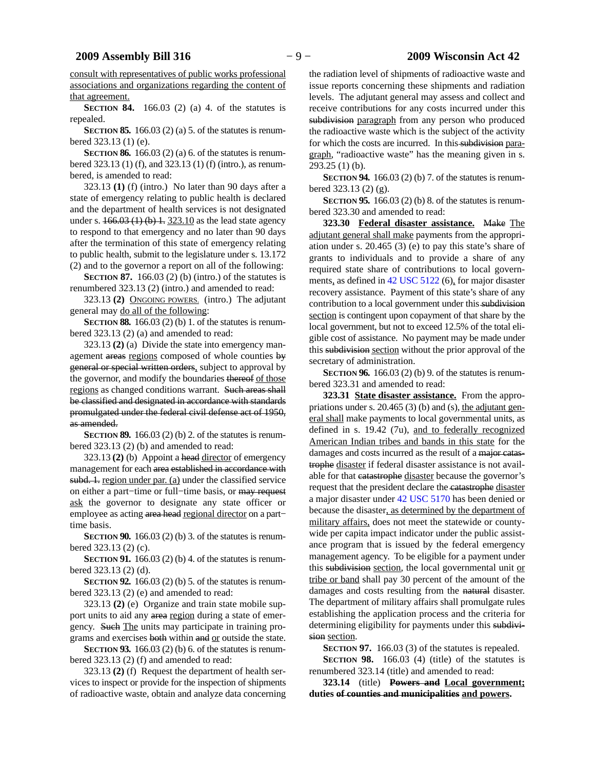consult with representatives of public works professional associations and organizations regarding the content of that agreement.

**SECTION 84.** 166.03 (2) (a) 4. of the statutes is repealed.

**SECTION 85.** 166.03 (2) (a) 5. of the statutes is renumbered 323.13 (1) (e).

**SECTION 86.** 166.03 (2) (a) 6. of the statutes is renumbered 323.13 (1) (f), and 323.13 (1) (f) (intro.), as renumbered, is amended to read:

323.13 **(1)** (f) (intro.) No later than 90 days after a state of emergency relating to public health is declared and the department of health services is not designated under s.  $166.03(1)(b)$  1. 323.10 as the lead state agency to respond to that emergency and no later than 90 days after the termination of this state of emergency relating to public health, submit to the legislature under s. 13.172 (2) and to the governor a report on all of the following:

**SECTION 87.** 166.03 (2) (b) (intro.) of the statutes is renumbered 323.13 (2) (intro.) and amended to read:

323.13 **(2)** ONGOING POWERS. (intro.) The adjutant general may do all of the following:

**SECTION 88.** 166.03 (2) (b) 1. of the statutes is renumbered 323.13 (2) (a) and amended to read:

323.13 **(2)** (a) Divide the state into emergency management areas regions composed of whole counties by general or special written orders, subject to approval by the governor, and modify the boundaries thereof of those regions as changed conditions warrant. Such areas shall be classified and designated in accordance with standards promulgated under the federal civil defense act of 1950, as amended.

**SECTION 89.** 166.03 (2) (b) 2. of the statutes is renumbered 323.13 (2) (b) and amended to read:

323.13 **(2)** (b) Appoint a head director of emergency management for each area established in accordance with subd. 1. region under par. (a) under the classified service on either a part−time or full−time basis, or may request ask the governor to designate any state officer or employee as acting area head regional director on a part− time basis.

**SECTION 90.** 166.03 (2) (b) 3. of the statutes is renumbered 323.13 (2) (c).

**SECTION 91.** 166.03 (2) (b) 4. of the statutes is renumbered 323.13 (2) (d).

**SECTION 92.** 166.03 (2) (b) 5. of the statutes is renumbered 323.13 (2) (e) and amended to read:

323.13 **(2)** (e) Organize and train state mobile support units to aid any area region during a state of emergency. Such The units may participate in training programs and exercises both within and or outside the state.

**SECTION 93.** 166.03 (2) (b) 6. of the statutes is renumbered 323.13 (2) (f) and amended to read:

323.13 **(2)** (f) Request the department of health services to inspect or provide for the inspection of shipments of radioactive waste, obtain and analyze data concerning

the radiation level of shipments of radioactive waste and issue reports concerning these shipments and radiation levels. The adjutant general may assess and collect and receive contributions for any costs incurred under this subdivision paragraph from any person who produced the radioactive waste which is the subject of the activity for which the costs are incurred. In this subdivision paragraph, "radioactive waste" has the meaning given in s. 293.25 (1) (b).

**SECTION 94.** 166.03 (2) (b) 7. of the statutes is renumbered 323.13 (2) (g).

**SECTION 95.** 166.03 (2) (b) 8. of the statutes is renumbered 323.30 and amended to read:

**323.30 Federal disaster assistance.** Make The adjutant general shall make payments from the appropriation under s. 20.465 (3) (e) to pay this state's share of grants to individuals and to provide a share of any required state share of contributions to local governments, as defined in [42 USC 5122](https://docs.legis.wisconsin.gov/document/usc/42%20USC%205122) (6), for major disaster recovery assistance. Payment of this state's share of any contribution to a local government under this subdivision section is contingent upon copayment of that share by the local government, but not to exceed 12.5% of the total eligible cost of assistance. No payment may be made under this subdivision section without the prior approval of the secretary of administration.

**SECTION 96.** 166.03 (2) (b) 9. of the statutes is renumbered 323.31 and amended to read:

**323.31 State disaster assistance.** From the appropriations under s.  $20.465(3)$  (b) and (s), the adjutant general shall make payments to local governmental units, as defined in s. 19.42 (7u), and to federally recognized American Indian tribes and bands in this state for the damages and costs incurred as the result of a major catastrophe disaster if federal disaster assistance is not available for that catastrophe disaster because the governor's request that the president declare the catastrophe disaster a major disaster under [42 USC 5170](https://docs.legis.wisconsin.gov/document/usc/42%20USC%205170) has been denied or because the disaster, as determined by the department of military affairs, does not meet the statewide or countywide per capita impact indicator under the public assistance program that is issued by the federal emergency management agency. To be eligible for a payment under this subdivision section, the local governmental unit or tribe or band shall pay 30 percent of the amount of the damages and costs resulting from the natural disaster. The department of military affairs shall promulgate rules establishing the application process and the criteria for determining eligibility for payments under this subdivision section.

**SECTION 97.** 166.03 (3) of the statutes is repealed.

**SECTION 98.** 166.03 (4) (title) of the statutes is renumbered 323.14 (title) and amended to read:

**323.14** (title) **Powers and Local government; duties of counties and municipalities and powers.**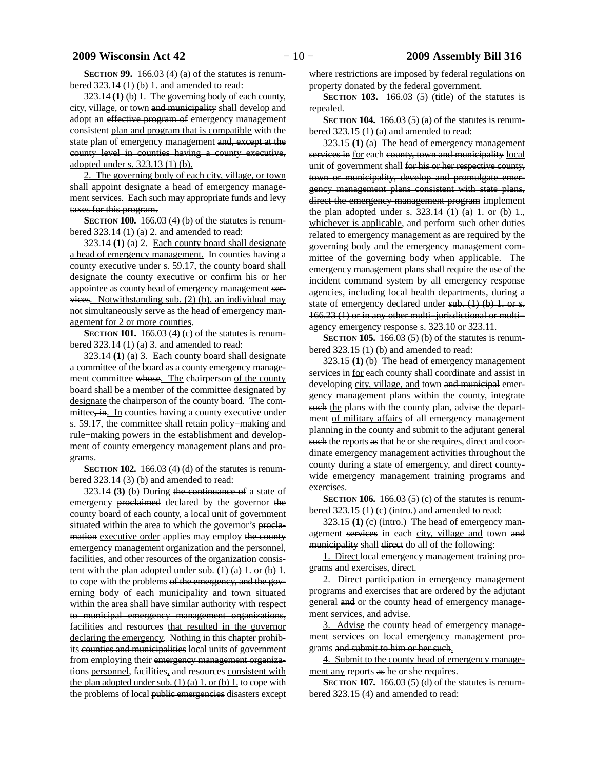**SECTION 99.** 166.03 (4) (a) of the statutes is renumbered 323.14 (1) (b) 1. and amended to read:

323.14 **(1)** (b) 1. The governing body of each county, city, village, or town and municipality shall develop and adopt an effective program of emergency management consistent plan and program that is compatible with the state plan of emergency management and, except at the county level in counties having a county executive, adopted under s. 323.13 (1) (b).

2. The governing body of each city, village, or town shall appoint designate a head of emergency management services. Each such may appropriate funds and levy taxes for this program.

**SECTION 100.** 166.03 (4) (b) of the statutes is renumbered 323.14 (1) (a) 2. and amended to read:

323.14 **(1)** (a) 2. Each county board shall designate a head of emergency management. In counties having a county executive under s. 59.17, the county board shall designate the county executive or confirm his or her appointee as county head of emergency management services. Notwithstanding sub. (2) (b), an individual may not simultaneously serve as the head of emergency management for 2 or more counties.

**SECTION 101.** 166.03 (4) (c) of the statutes is renumbered  $323.14$  (1) (a) 3. and amended to read:

323.14 **(1)** (a) 3. Each county board shall designate a committee of the board as a county emergency management committee whose. The chairperson of the county board shall be a member of the committee designated by designate the chairperson of the county board. The committee, in. In counties having a county executive under s. 59.17, the committee shall retain policy−making and rule−making powers in the establishment and development of county emergency management plans and programs.

**SECTION 102.** 166.03 (4) (d) of the statutes is renumbered 323.14 (3) (b) and amended to read:

323.14 **(3)** (b) During the continuance of a state of emergency proclaimed declared by the governor the county board of each county, a local unit of government situated within the area to which the governor's proclamation executive order applies may employ the county emergency management organization and the personnel, facilities, and other resources of the organization consistent with the plan adopted under sub. (1) (a) 1. or (b)  $1$ . to cope with the problems of the emergency, and the governing body of each municipality and town situated within the area shall have similar authority with respect to municipal emergency management organizations, facilities and resources that resulted in the governor declaring the emergency. Nothing in this chapter prohibits counties and municipalities local units of government from employing their emergency management organizations personnel, facilities, and resources consistent with the plan adopted under sub.  $(1)$   $(a)$  1. or  $(b)$  1. to cope with the problems of local public emergencies disasters except

where restrictions are imposed by federal regulations on property donated by the federal government.

**SECTION 103.** 166.03 (5) (title) of the statutes is repealed.

**SECTION 104.** 166.03 (5) (a) of the statutes is renumbered 323.15 (1) (a) and amended to read:

323.15 **(1)** (a) The head of emergency management services in for each county, town and municipality local unit of government shall for his or her respective county, town or municipality, develop and promulgate emergency management plans consistent with state plans, direct the emergency management program implement the plan adopted under s.  $323.14$  (1) (a) 1. or (b) 1. whichever is applicable, and perform such other duties related to emergency management as are required by the governing body and the emergency management committee of the governing body when applicable. The emergency management plans shall require the use of the incident command system by all emergency response agencies, including local health departments, during a state of emergency declared under sub.  $(1)$  (b) 1. or s. 166.23 (1) or in any other multi−jurisdictional or multi− agency emergency response s. 323.10 or 323.11.

**SECTION 105.** 166.03 (5) (b) of the statutes is renumbered 323.15 (1) (b) and amended to read:

323.15 **(1)** (b) The head of emergency management services in for each county shall coordinate and assist in developing city, village, and town and municipal emergency management plans within the county, integrate such the plans with the county plan, advise the department of military affairs of all emergency management planning in the county and submit to the adjutant general such the reports as that he or she requires, direct and coordinate emergency management activities throughout the county during a state of emergency, and direct countywide emergency management training programs and exercises.

**SECTION 106.** 166.03 (5) (c) of the statutes is renumbered 323.15 (1) (c) (intro.) and amended to read:

323.15 **(1)** (c) (intro.) The head of emergency management services in each city, village and town and municipality shall direct do all of the following:

1. Direct local emergency management training programs and exercises, direct.

2. Direct participation in emergency management programs and exercises that are ordered by the adjutant general and or the county head of emergency management services, and advise.

3. Advise the county head of emergency management services on local emergency management programs and submit to him or her such.

4. Submit to the county head of emergency management any reports as he or she requires.

**SECTION 107.** 166.03 (5) (d) of the statutes is renumbered 323.15 (4) and amended to read: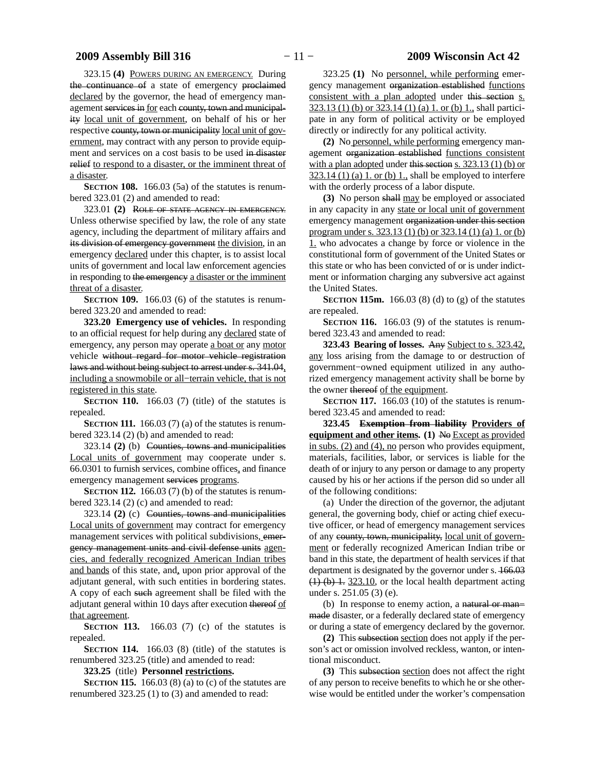323.15 **(4)** POWERS DURING AN EMERGENCY. During the continuance of a state of emergency proclaimed declared by the governor, the head of emergency management services in for each county, town and municipality local unit of government, on behalf of his or her respective county, town or municipality local unit of government, may contract with any person to provide equipment and services on a cost basis to be used in disaster relief to respond to a disaster, or the imminent threat of a disaster.

**SECTION 108.** 166.03 (5a) of the statutes is renumbered 323.01 (2) and amended to read:

323.01 **(2)** ROLE OF STATE AGENCY IN EMERGENCY. Unless otherwise specified by law, the role of any state agency, including the department of military affairs and its division of emergency government the division, in an emergency declared under this chapter, is to assist local units of government and local law enforcement agencies in responding to the emergency a disaster or the imminent threat of a disaster.

**SECTION 109.** 166.03 (6) of the statutes is renumbered 323.20 and amended to read:

**323.20 Emergency use of vehicles.** In responding to an official request for help during any declared state of emergency, any person may operate a boat or any motor vehicle without regard for motor vehicle registration laws and without being subject to arrest under s. 341.04, including a snowmobile or all−terrain vehicle, that is not registered in this state.

**SECTION 110.** 166.03 (7) (title) of the statutes is repealed.

**SECTION 111.** 166.03 (7) (a) of the statutes is renumbered 323.14 (2) (b) and amended to read:

323.14 **(2)** (b) Counties, towns and municipalities Local units of government may cooperate under s. 66.0301 to furnish services, combine offices, and finance emergency management services programs.

**SECTION 112.** 166.03 (7) (b) of the statutes is renumbered 323.14 (2) (c) and amended to read:

323.14 **(2)** (c) Counties, towns and municipalities Local units of government may contract for emergency management services with political subdivisions, emergency management units and civil defense units agencies, and federally recognized American Indian tribes and bands of this state, and, upon prior approval of the adjutant general, with such entities in bordering states. A copy of each such agreement shall be filed with the adjutant general within 10 days after execution thereof of that agreement.

**SECTION 113.** 166.03 (7) (c) of the statutes is repealed.

**SECTION 114.** 166.03 (8) (title) of the statutes is renumbered 323.25 (title) and amended to read:

**323.25** (title) **Personnel restrictions.**

**SECTION 115.** 166.03 (8) (a) to (c) of the statutes are renumbered 323.25 (1) to (3) and amended to read:

323.25 **(1)** No personnel, while performing emergency management organization established functions consistent with a plan adopted under this section s. 323.13 (1) (b) or 323.14 (1) (a) 1. or (b) 1., shall participate in any form of political activity or be employed directly or indirectly for any political activity.

**(2)** No personnel, while performing emergency management organization established functions consistent with a plan adopted under this section s. 323.13 (1) (b) or  $323.14$  (1) (a) 1. or (b) 1., shall be employed to interfere with the orderly process of a labor dispute.

**(3)** No person shall may be employed or associated in any capacity in any state or local unit of government emergency management organization under this section program under s. 323.13 (1) (b) or 323.14 (1) (a) 1. or (b) 1. who advocates a change by force or violence in the constitutional form of government of the United States or this state or who has been convicted of or is under indictment or information charging any subversive act against the United States.

**SECTION 115m.** 166.03 (8) (d) to (g) of the statutes are repealed.

**SECTION 116.** 166.03 (9) of the statutes is renumbered 323.43 and amended to read:

**323.43 Bearing of losses.** Any Subject to s. 323.42, any loss arising from the damage to or destruction of government−owned equipment utilized in any authorized emergency management activity shall be borne by the owner thereof of the equipment.

**SECTION 117.** 166.03 (10) of the statutes is renumbered 323.45 and amended to read:

**323.45 Exemption from liability Providers of equipment and other items. (1)** No Except as provided in subs. (2) and (4), no person who provides equipment, materials, facilities, labor, or services is liable for the death of or injury to any person or damage to any property caused by his or her actions if the person did so under all of the following conditions:

(a) Under the direction of the governor, the adjutant general, the governing body, chief or acting chief executive officer, or head of emergency management services of any county, town, municipality, local unit of government or federally recognized American Indian tribe or band in this state, the department of health services if that department is designated by the governor under s.  $166.03$  $(1)$  (b) 1. 323.10, or the local health department acting under s. 251.05 (3) (e).

(b) In response to enemy action, a natural or man− made disaster, or a federally declared state of emergency or during a state of emergency declared by the governor.

**(2)** This subsection section does not apply if the person's act or omission involved reckless, wanton, or intentional misconduct.

**(3)** This subsection section does not affect the right of any person to receive benefits to which he or she otherwise would be entitled under the worker's compensation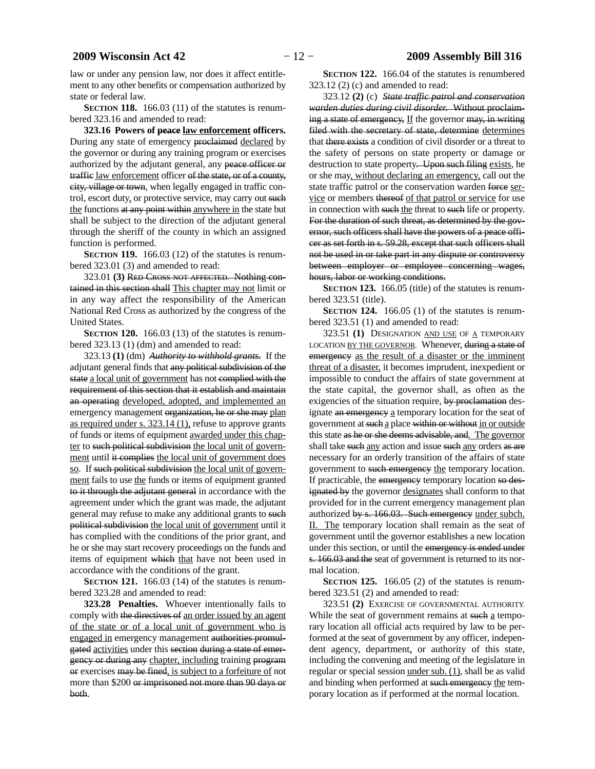law or under any pension law, nor does it affect entitlement to any other benefits or compensation authorized by state or federal law.

**SECTION 118.** 166.03 (11) of the statutes is renumbered 323.16 and amended to read:

**323.16 Powers of peace law enforcement officers.** During any state of emergency proclaimed declared by the governor or during any training program or exercises authorized by the adjutant general, any peace officer or traffic law enforcement officer of the state, or of a county, city, village or town, when legally engaged in traffic control, escort duty, or protective service, may carry out such the functions at any point within anywhere in the state but shall be subject to the direction of the adjutant general through the sheriff of the county in which an assigned function is performed.

**SECTION 119.** 166.03 (12) of the statutes is renumbered 323.01 (3) and amended to read:

323.01 **(3)** RED CROSS NOT AFFECTED. Nothing contained in this section shall This chapter may not limit or in any way affect the responsibility of the American National Red Cross as authorized by the congress of the United States.

**SECTION** 120. 166.03 (13) of the statutes is renumbered 323.13 (1) (dm) and amended to read:

323.13 **(1)** (dm) *Authority to withhold grants.* If the adjutant general finds that any political subdivision of the state a local unit of government has not complied with the requirement of this section that it establish and maintain an operating developed, adopted, and implemented an emergency management organization, he or she may plan as required under s. 323.14 (1), refuse to approve grants of funds or items of equipment awarded under this chapter to such political subdivision the local unit of government until it complies the local unit of government does so. If such political subdivision the local unit of government fails to use the funds or items of equipment granted to it through the adjutant general in accordance with the agreement under which the grant was made, the adjutant general may refuse to make any additional grants to such political subdivision the local unit of government until it has complied with the conditions of the prior grant, and he or she may start recovery proceedings on the funds and items of equipment which that have not been used in accordance with the conditions of the grant.

**SECTION 121.** 166.03 (14) of the statutes is renumbered 323.28 and amended to read:

**323.28 Penalties.** Whoever intentionally fails to comply with the directives of an order issued by an agent of the state or of a local unit of government who is engaged in emergency management authorities promulgated activities under this section during a state of emergency or during any chapter, including training program or exercises may be fined, is subject to a forfeiture of not more than \$200 or imprisoned not more than 90 days or both.

**SECTION 122.** 166.04 of the statutes is renumbered 323.12 (2) (c) and amended to read:

323.12 **(2)** (c) *State traffic patrol and conservation warden duties during civil disorder.* Without proclaiming a state of emergency, If the governor may, in writing filed with the secretary of state, determine determines that there exists a condition of civil disorder or a threat to the safety of persons on state property or damage or destruction to state property. Upon such filing exists, he or she may, without declaring an emergency, call out the state traffic patrol or the conservation warden force service or members thereof of that patrol or service for use in connection with such the threat to such life or property. For the duration of such threat, as determined by the governor, such officers shall have the powers of a peace officer as set forth in s. 59.28, except that such officers shall not be used in or take part in any dispute or controversy between employer or employee concerning wages, hours, labor or working conditions.

**SECTION 123.** 166.05 (title) of the statutes is renumbered 323.51 (title).

**SECTION** 124. 166.05 (1) of the statutes is renumbered 323.51 (1) and amended to read:

323.51 **(1)** DESIGNATION AND USE OF A TEMPORARY LOCATION BY THE GOVERNOR. Whenever, during a state of emergency as the result of a disaster or the imminent threat of a disaster, it becomes imprudent, inexpedient or impossible to conduct the affairs of state government at the state capital, the governor shall, as often as the exigencies of the situation require, by proclamation designate an emergency a temporary location for the seat of government at such a place within or without in or outside this state as he or she deems advisable, and. The governor shall take such any action and issue such any orders as are necessary for an orderly transition of the affairs of state government to such emergency the temporary location. If practicable, the emergency temporary location so designated by the governor designates shall conform to that provided for in the current emergency management plan authorized by s. 166.03. Such emergency under subch. II. The temporary location shall remain as the seat of government until the governor establishes a new location under this section, or until the emergency is ended under s. 166.03 and the seat of government is returned to its normal location.

**SECTION 125.** 166.05 (2) of the statutes is renumbered 323.51 (2) and amended to read:

323.51 **(2)** EXERCISE OF GOVERNMENTAL AUTHORITY. While the seat of government remains at such a temporary location all official acts required by law to be performed at the seat of government by any officer, independent agency, department, or authority of this state, including the convening and meeting of the legislature in regular or special session under sub. (1), shall be as valid and binding when performed at such emergency the temporary location as if performed at the normal location.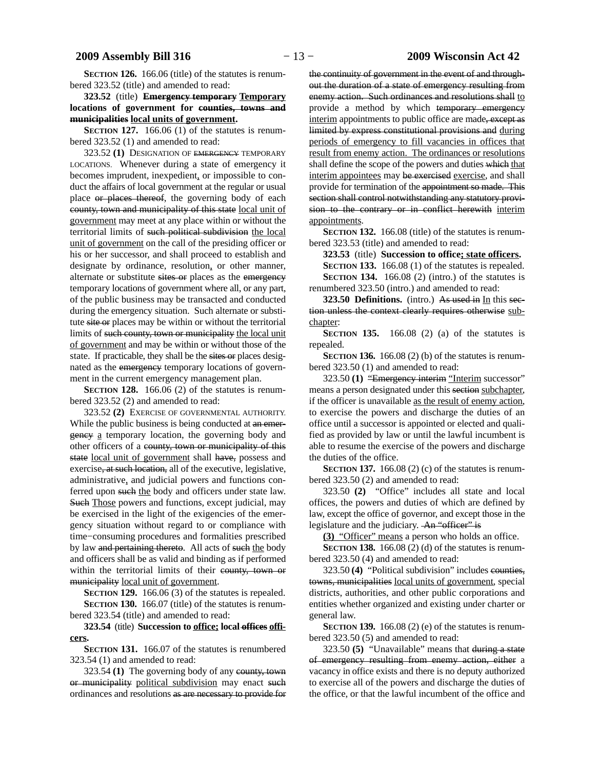**SECTION 126.** 166.06 (title) of the statutes is renumbered 323.52 (title) and amended to read:

**323.52** (title) **Emergency temporary Temporary locations of government for counties, towns and municipalities local units of government.**

**SECTION 127.** 166.06 (1) of the statutes is renumbered 323.52 (1) and amended to read:

323.52 **(1)** DESIGNATION OF EMERGENCY TEMPORARY LOCATIONS. Whenever during a state of emergency it becomes imprudent, inexpedient, or impossible to conduct the affairs of local government at the regular or usual place or places thereof, the governing body of each county, town and municipality of this state local unit of government may meet at any place within or without the territorial limits of such political subdivision the local unit of government on the call of the presiding officer or his or her successor, and shall proceed to establish and designate by ordinance, resolution, or other manner, alternate or substitute sites or places as the emergency temporary locations of government where all, or any part, of the public business may be transacted and conducted during the emergency situation. Such alternate or substitute site or places may be within or without the territorial limits of such county, town or municipality the local unit of government and may be within or without those of the state. If practicable, they shall be the sites or places designated as the emergency temporary locations of government in the current emergency management plan.

**SECTION 128.** 166.06 (2) of the statutes is renumbered 323.52 (2) and amended to read:

323.52 **(2)** EXERCISE OF GOVERNMENTAL AUTHORITY. While the public business is being conducted at an emergency a temporary location, the governing body and other officers of a county, town or municipality of this state local unit of government shall have, possess and exercise, at such location, all of the executive, legislative, administrative, and judicial powers and functions conferred upon such the body and officers under state law. Such Those powers and functions, except judicial, may be exercised in the light of the exigencies of the emergency situation without regard to or compliance with time−consuming procedures and formalities prescribed by law and pertaining thereto. All acts of such the body and officers shall be as valid and binding as if performed within the territorial limits of their county, town or municipality local unit of government.

**SECTION 129.** 166.06 (3) of the statutes is repealed.

**SECTION 130.** 166.07 (title) of the statutes is renumbered 323.54 (title) and amended to read:

**323.54** (title) **Succession to office; local offices officers.**

**SECTION 131.** 166.07 of the statutes is renumbered 323.54 (1) and amended to read:

323.54 **(1)** The governing body of any county, town or municipality political subdivision may enact such ordinances and resolutions as are necessary to provide for the continuity of government in the event of and throughout the duration of a state of emergency resulting from enemy action. Such ordinances and resolutions shall to provide a method by which temporary emergency interim appointments to public office are made, except as limited by express constitutional provisions and during periods of emergency to fill vacancies in offices that result from enemy action. The ordinances or resolutions shall define the scope of the powers and duties which that interim appointees may be exercised exercise, and shall provide for termination of the appointment so made. This section shall control notwithstanding any statutory provision to the contrary or in conflict herewith interim appointments.

**SECTION 132.** 166.08 (title) of the statutes is renumbered 323.53 (title) and amended to read:

**323.53** (title) **Succession to office; state officers.**

**SECTION 133.** 166.08 (1) of the statutes is repealed. **SECTION 134.** 166.08 (2) (intro.) of the statutes is renumbered 323.50 (intro.) and amended to read:

**323.50 Definitions.** (intro.) As used in In this section unless the context clearly requires otherwise subchapter:

**SECTION 135.** 166.08 (2) (a) of the statutes is repealed.

**SECTION 136.** 166.08 (2) (b) of the statutes is renumbered 323.50 (1) and amended to read:

323.50 **(1)** "Emergency interim "Interim successor" means a person designated under this section subchapter, if the officer is unavailable as the result of enemy action, to exercise the powers and discharge the duties of an office until a successor is appointed or elected and qualified as provided by law or until the lawful incumbent is able to resume the exercise of the powers and discharge the duties of the office.

**SECTION 137.** 166.08 (2) (c) of the statutes is renumbered 323.50 (2) and amended to read:

323.50 **(2)** "Office" includes all state and local offices, the powers and duties of which are defined by law, except the office of governor, and except those in the legislature and the judiciary. An "officer" is

**(3)** "Officer" means a person who holds an office.

**SECTION 138.** 166.08 (2) (d) of the statutes is renumbered 323.50 (4) and amended to read:

323.50 **(4)** "Political subdivision" includes counties, towns, municipalities local units of government, special districts, authorities, and other public corporations and entities whether organized and existing under charter or general law.

**SECTION 139.** 166.08 (2) (e) of the statutes is renumbered 323.50 (5) and amended to read:

323.50 **(5)** "Unavailable" means that during a state of emergency resulting from enemy action, either a vacancy in office exists and there is no deputy authorized to exercise all of the powers and discharge the duties of the office, or that the lawful incumbent of the office and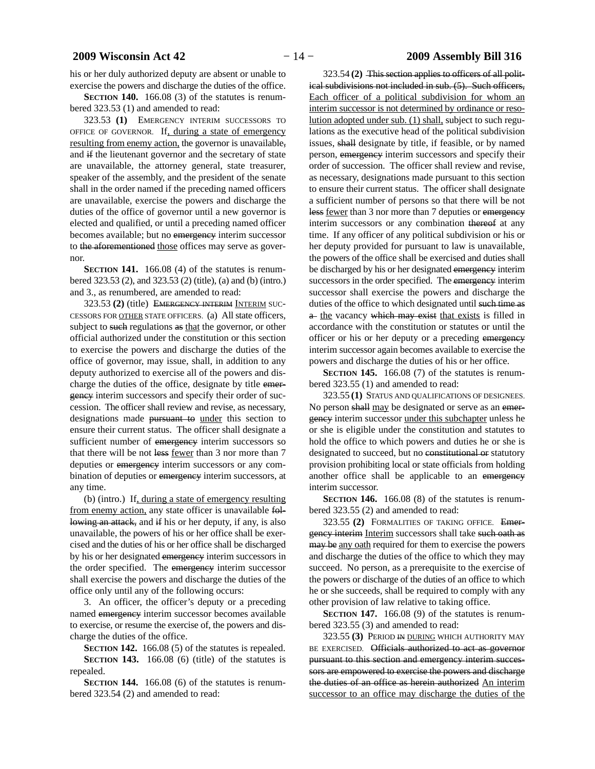his or her duly authorized deputy are absent or unable to exercise the powers and discharge the duties of the office.

**SECTION 140.** 166.08 (3) of the statutes is renumbered 323.53 (1) and amended to read:

323.53 **(1)** EMERGENCY INTERIM SUCCESSORS TO OFFICE OF GOVERNOR. If, during a state of emergency resulting from enemy action, the governor is unavailable, and if the lieutenant governor and the secretary of state are unavailable, the attorney general, state treasurer, speaker of the assembly, and the president of the senate shall in the order named if the preceding named officers are unavailable, exercise the powers and discharge the duties of the office of governor until a new governor is elected and qualified, or until a preceding named officer becomes available; but no emergency interim successor to the aforementioned those offices may serve as governor.

**SECTION 141.** 166.08 (4) of the statutes is renumbered 323.53 (2), and 323.53 (2) (title), (a) and (b) (intro.) and 3., as renumbered, are amended to read:

323.53 **(2)** (title) EMERGENCY INTERIM INTERIM SUC-CESSORS FOR OTHER STATE OFFICERS. (a) All state officers, subject to such regulations as that the governor, or other official authorized under the constitution or this section to exercise the powers and discharge the duties of the office of governor, may issue, shall, in addition to any deputy authorized to exercise all of the powers and discharge the duties of the office, designate by title emergency interim successors and specify their order of succession. The officer shall review and revise, as necessary, designations made pursuant to under this section to ensure their current status. The officer shall designate a sufficient number of emergency interim successors so that there will be not less fewer than 3 nor more than 7 deputies or emergency interim successors or any combination of deputies or emergency interim successors, at any time.

(b) (intro.) If, during a state of emergency resulting from enemy action, any state officer is unavailable following an attack, and if his or her deputy, if any, is also unavailable, the powers of his or her office shall be exercised and the duties of his or her office shall be discharged by his or her designated emergency interim successors in the order specified. The emergency interim successor shall exercise the powers and discharge the duties of the office only until any of the following occurs:

3. An officer, the officer's deputy or a preceding named emergency interim successor becomes available to exercise, or resume the exercise of, the powers and discharge the duties of the office.

**SECTION 142.** 166.08 (5) of the statutes is repealed.

**SECTION 143.** 166.08 (6) (title) of the statutes is repealed.

**SECTION 144.** 166.08 (6) of the statutes is renumbered 323.54 (2) and amended to read:

323.54 **(2)** This section applies to officers of all political subdivisions not included in sub. (5). Such officers, Each officer of a political subdivision for whom an interim successor is not determined by ordinance or resolution adopted under sub. (1) shall, subject to such regulations as the executive head of the political subdivision issues, shall designate by title, if feasible, or by named person, emergency interim successors and specify their order of succession. The officer shall review and revise, as necessary, designations made pursuant to this section to ensure their current status. The officer shall designate a sufficient number of persons so that there will be not less <u>fewer</u> than 3 nor more than 7 deputies or emergency interim successors or any combination thereof at any time. If any officer of any political subdivision or his or her deputy provided for pursuant to law is unavailable, the powers of the office shall be exercised and duties shall be discharged by his or her designated emergency interim successors in the order specified. The emergency interim successor shall exercise the powers and discharge the duties of the office to which designated until such time as a the vacancy which may exist that exists is filled in accordance with the constitution or statutes or until the officer or his or her deputy or a preceding emergency interim successor again becomes available to exercise the powers and discharge the duties of his or her office.

**SECTION 145.** 166.08 (7) of the statutes is renumbered 323.55 (1) and amended to read:

323.55 **(1)** STATUS AND QUALIFICATIONS OF DESIGNEES. No person shall may be designated or serve as an emergency interim successor under this subchapter unless he or she is eligible under the constitution and statutes to hold the office to which powers and duties he or she is designated to succeed, but no constitutional or statutory provision prohibiting local or state officials from holding another office shall be applicable to an emergency interim successor.

**SECTION 146.** 166.08 (8) of the statutes is renumbered 323.55 (2) and amended to read:

323.55 **(2)** FORMALITIES OF TAKING OFFICE. Emergency interim Interim successors shall take such oath as may be any oath required for them to exercise the powers and discharge the duties of the office to which they may succeed. No person, as a prerequisite to the exercise of the powers or discharge of the duties of an office to which he or she succeeds, shall be required to comply with any other provision of law relative to taking office.

**SECTION 147.** 166.08 (9) of the statutes is renumbered 323.55 (3) and amended to read:

323.55 **(3)** PERIOD IN DURING WHICH AUTHORITY MAY BE EXERCISED. Officials authorized to act as governor pursuant to this section and emergency interim successors are empowered to exercise the powers and discharge the duties of an office as herein authorized An interim successor to an office may discharge the duties of the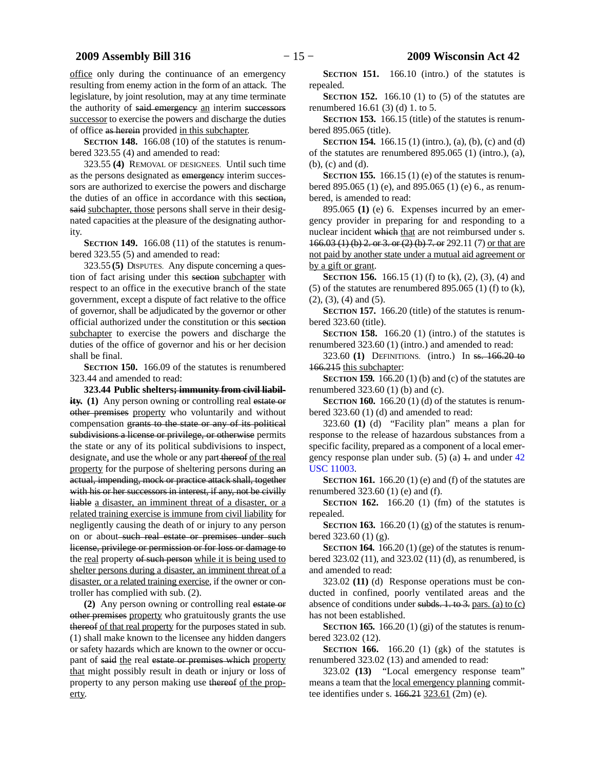office only during the continuance of an emergency resulting from enemy action in the form of an attack. The legislature, by joint resolution, may at any time terminate the authority of said emergency an interim successors successor to exercise the powers and discharge the duties of office as herein provided in this subchapter.

**SECTION 148.** 166.08 (10) of the statutes is renumbered 323.55 (4) and amended to read:

323.55 **(4)** REMOVAL OF DESIGNEES. Until such time as the persons designated as emergency interim successors are authorized to exercise the powers and discharge the duties of an office in accordance with this section, said subchapter, those persons shall serve in their designated capacities at the pleasure of the designating authority.

**SECTION 149.** 166.08 (11) of the statutes is renumbered 323.55 (5) and amended to read:

323.55 **(5)** DISPUTES. Any dispute concerning a question of fact arising under this section subchapter with respect to an office in the executive branch of the state government, except a dispute of fact relative to the office of governor, shall be adjudicated by the governor or other official authorized under the constitution or this section subchapter to exercise the powers and discharge the duties of the office of governor and his or her decision shall be final.

**SECTION 150.** 166.09 of the statutes is renumbered 323.44 and amended to read:

**323.44 Public shelters; immunity from civil liability. (1)** Any person owning or controlling real estate or other premises property who voluntarily and without compensation grants to the state or any of its political subdivisions a license or privilege, or otherwise permits the state or any of its political subdivisions to inspect, designate, and use the whole or any part thereof of the real property for the purpose of sheltering persons during an actual, impending, mock or practice attack shall, together with his or her successors in interest, if any, not be civilly liable a disaster, an imminent threat of a disaster, or a related training exercise is immune from civil liability for negligently causing the death of or injury to any person on or about-such real estate or premises under such license, privilege or permission or for loss or damage to the real property of such person while it is being used to shelter persons during a disaster, an imminent threat of a disaster, or a related training exercise, if the owner or controller has complied with sub. (2).

**(2)** Any person owning or controlling real estate or other premises property who gratuitously grants the use thereof of that real property for the purposes stated in sub. (1) shall make known to the licensee any hidden dangers or safety hazards which are known to the owner or occupant of said the real estate or premises which property that might possibly result in death or injury or loss of property to any person making use thereof of the property.

**SECTION 151.** 166.10 (intro.) of the statutes is repealed.

**SECTION 152.** 166.10 (1) to (5) of the statutes are renumbered 16.61 (3) (d) 1. to 5.

**SECTION 153.** 166.15 (title) of the statutes is renumbered 895.065 (title).

**SECTION 154.** 166.15 (1) (intro.), (a), (b), (c) and (d) of the statutes are renumbered 895.065 (1) (intro.), (a), (b), (c) and (d).

**SECTION 155.** 166.15 (1) (e) of the statutes is renumbered 895.065 (1) (e), and 895.065 (1) (e) 6., as renumbered, is amended to read:

895.065 **(1)** (e) 6. Expenses incurred by an emergency provider in preparing for and responding to a nuclear incident which that are not reimbursed under s. 166.03 (1) (b) 2. or 3. or (2) (b) 7. or 292.11 (7) or that are not paid by another state under a mutual aid agreement or by a gift or grant.

**SECTION 156.** 166.15 (1) (f) to (k), (2), (3), (4) and (5) of the statutes are renumbered 895.065 (1) (f) to  $(k)$ , (2), (3), (4) and (5).

**SECTION 157.** 166.20 (title) of the statutes is renumbered 323.60 (title).

**SECTION 158.** 166.20 (1) (intro.) of the statutes is renumbered 323.60 (1) (intro.) and amended to read:

323.60 **(1)** DEFINITIONS. (intro.) In ss. 166.20 to 166.215 this subchapter:

**SECTION 159.** 166.20 (1) (b) and (c) of the statutes are renumbered 323.60 (1) (b) and (c).

**SECTION 160.** 166.20 (1) (d) of the statutes is renumbered 323.60 (1) (d) and amended to read:

323.60 **(1)** (d) "Facility plan" means a plan for response to the release of hazardous substances from a specific facility, prepared as a component of a local emergency response plan under sub.  $(5)$  (a) 1. and under [42](https://docs.legis.wisconsin.gov/document/usc/42%20USC%2011003) [USC 11003.](https://docs.legis.wisconsin.gov/document/usc/42%20USC%2011003)

**SECTION 161.** 166.20 (1) (e) and (f) of the statutes are renumbered 323.60 (1) (e) and (f).

**SECTION 162.** 166.20 (1) (fm) of the statutes is repealed.

**SECTION 163.** 166.20 (1) (g) of the statutes is renumbered 323.60 (1) (g).

**SECTION 164.** 166.20 (1) (ge) of the statutes is renumbered 323.02 (11), and 323.02 (11) (d), as renumbered, is and amended to read:

323.02 **(11)** (d) Response operations must be conducted in confined, poorly ventilated areas and the absence of conditions under subds. 1. to 3. pars. (a) to (c) has not been established.

**SECTION 165.** 166.20 (1) (gi) of the statutes is renumbered 323.02 (12).

**SECTION 166.** 166.20 (1) (gk) of the statutes is renumbered 323.02 (13) and amended to read:

323.02 **(13)** "Local emergency response team" means a team that the local emergency planning committee identifies under s.  $166.21$   $323.61$   $(2m)$  (e).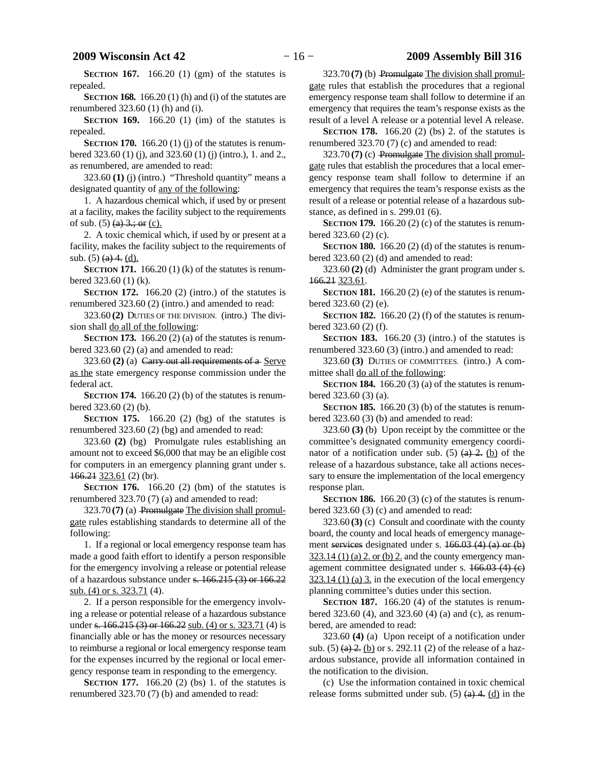### **2009 Wisconsin Act 42** − 16 − 2009 Assembly Bill 316

**SECTION 167.** 166.20 (1) (gm) of the statutes is repealed.

**SECTION 168.** 166.20 (1) (h) and (i) of the statutes are renumbered 323.60 (1) (h) and (i).

**SECTION 169.** 166.20 (1) (im) of the statutes is repealed.

**SECTION 170.** 166.20 (1) (j) of the statutes is renumbered 323.60 (1) (j), and 323.60 (1) (j) (intro.), 1. and 2., as renumbered, are amended to read:

323.60 **(1)** (j) (intro.) "Threshold quantity" means a designated quantity of any of the following:

1. A hazardous chemical which, if used by or present at a facility, makes the facility subject to the requirements of sub.  $(5)$   $(a)$   $3$ ; or  $(c)$ .

2. A toxic chemical which, if used by or present at a facility, makes the facility subject to the requirements of sub.  $(5)$   $(a)$  4.  $(d)$ .

**SECTION 171.** 166.20 (1) (k) of the statutes is renumbered 323.60 (1) (k).

**SECTION 172.** 166.20 (2) (intro.) of the statutes is renumbered 323.60 (2) (intro.) and amended to read:

323.60 **(2)** DUTIES OF THE DIVISION. (intro.) The division shall do all of the following:

**SECTION 173.** 166.20 (2) (a) of the statutes is renumbered 323.60 (2) (a) and amended to read:

323.60 **(2)** (a) Carry out all requirements of a Serve as the state emergency response commission under the federal act.

**SECTION 174.** 166.20 (2) (b) of the statutes is renumbered 323.60 (2) (b).

**SECTION 175.** 166.20 (2) (bg) of the statutes is renumbered 323.60 (2) (bg) and amended to read:

323.60 **(2)** (bg) Promulgate rules establishing an amount not to exceed \$6,000 that may be an eligible cost for computers in an emergency planning grant under s. 166.21 323.61 (2) (br).

**SECTION 176.** 166.20 (2) (bm) of the statutes is renumbered 323.70 (7) (a) and amended to read:

323.70 **(7)** (a) Promulgate The division shall promulgate rules establishing standards to determine all of the following:

1. If a regional or local emergency response team has made a good faith effort to identify a person responsible for the emergency involving a release or potential release of a hazardous substance under s. 166.215 (3) or 166.22 sub. (4) or s. 323.71 (4).

2. If a person responsible for the emergency involving a release or potential release of a hazardous substance under s. 166.215 (3) or 166.22 sub. (4) or s. 323.71 (4) is financially able or has the money or resources necessary to reimburse a regional or local emergency response team for the expenses incurred by the regional or local emergency response team in responding to the emergency.

**SECTION 177.** 166.20 (2) (bs) 1. of the statutes is renumbered 323.70 (7) (b) and amended to read:

323.70 **(7)** (b) Promulgate The division shall promulgate rules that establish the procedures that a regional emergency response team shall follow to determine if an emergency that requires the team's response exists as the result of a level A release or a potential level A release.

**SECTION 178.** 166.20 (2) (bs) 2. of the statutes is renumbered 323.70 (7) (c) and amended to read:

323.70 **(7)** (c) Promulgate The division shall promulgate rules that establish the procedures that a local emergency response team shall follow to determine if an emergency that requires the team's response exists as the result of a release or potential release of a hazardous substance, as defined in s. 299.01 (6).

**SECTION 179.** 166.20 (2) (c) of the statutes is renumbered 323.60 (2) (c).

**SECTION 180.** 166.20 (2) (d) of the statutes is renumbered 323.60 (2) (d) and amended to read:

323.60 **(2)** (d) Administer the grant program under s. 166.21 323.61.

**SECTION 181.** 166.20 (2) (e) of the statutes is renumbered 323.60 (2) (e).

**SECTION 182.** 166.20 (2) (f) of the statutes is renumbered 323.60 (2) (f).

**SECTION 183.** 166.20 (3) (intro.) of the statutes is renumbered 323.60 (3) (intro.) and amended to read:

323.60 **(3)** DUTIES OF COMMITTEES. (intro.) A committee shall do all of the following:

**SECTION 184.** 166.20 (3) (a) of the statutes is renumbered 323.60 (3) (a).

**SECTION 185.** 166.20 (3) (b) of the statutes is renumbered 323.60 (3) (b) and amended to read:

323.60 **(3)** (b) Upon receipt by the committee or the committee's designated community emergency coordinator of a notification under sub. (5)  $(a)$   $2$ . (b) of the release of a hazardous substance, take all actions necessary to ensure the implementation of the local emergency response plan.

**SECTION 186.** 166.20 (3) (c) of the statutes is renumbered 323.60 (3) (c) and amended to read:

323.60 **(3)** (c) Consult and coordinate with the county board, the county and local heads of emergency management services designated under s. 166.03 (4) (a) or (b)  $323.14$  (1) (a) 2. or (b) 2. and the county emergency management committee designated under s. 166.03 (4) (c)  $323.14$  (1) (a) 3. in the execution of the local emergency planning committee's duties under this section.

**SECTION 187.** 166.20 (4) of the statutes is renumbered 323.60 (4), and 323.60 (4) (a) and (c), as renumbered, are amended to read:

323.60 **(4)** (a) Upon receipt of a notification under sub.  $(5)$  (a) 2. (b) or s. 292.11 (2) of the release of a hazardous substance, provide all information contained in the notification to the division.

(c) Use the information contained in toxic chemical release forms submitted under sub.  $(5)$   $(a)$  4.  $(d)$  in the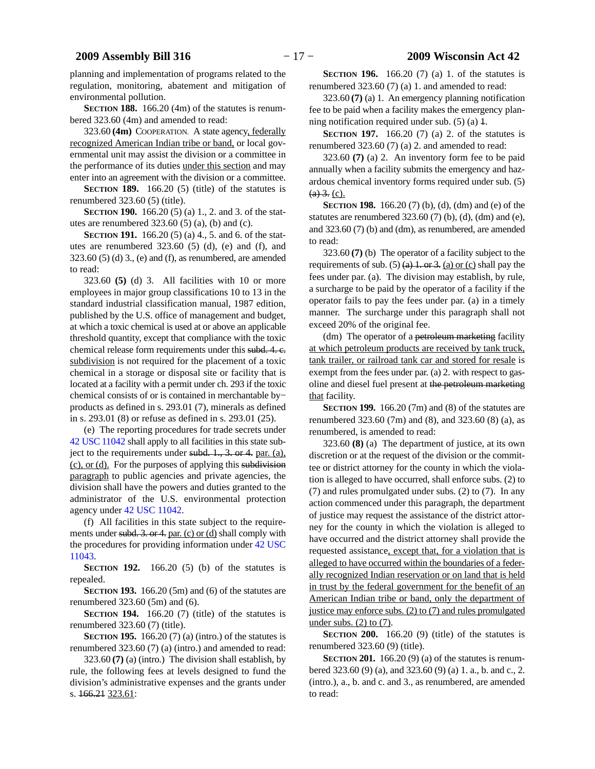planning and implementation of programs related to the regulation, monitoring, abatement and mitigation of environmental pollution.

**SECTION 188.** 166.20 (4m) of the statutes is renumbered 323.60 (4m) and amended to read:

323.60 **(4m)** COOPERATION. A state agency, federally recognized American Indian tribe or band, or local governmental unit may assist the division or a committee in the performance of its duties under this section and may enter into an agreement with the division or a committee.

**SECTION 189.** 166.20 (5) (title) of the statutes is renumbered 323.60 (5) (title).

**SECTION 190.** 166.20 (5) (a) 1, 2, and 3, of the statutes are renumbered 323.60 (5) (a), (b) and (c).

**SECTION 191.** 166.20 (5) (a) 4., 5. and 6. of the statutes are renumbered 323.60 (5) (d), (e) and (f), and 323.60 (5) (d) 3., (e) and (f), as renumbered, are amended to read:

323.60 **(5)** (d) 3. All facilities with 10 or more employees in major group classifications 10 to 13 in the standard industrial classification manual, 1987 edition, published by the U.S. office of management and budget, at which a toxic chemical is used at or above an applicable threshold quantity, except that compliance with the toxic chemical release form requirements under this subd. 4. c. subdivision is not required for the placement of a toxic chemical in a storage or disposal site or facility that is located at a facility with a permit under ch. 293 if the toxic chemical consists of or is contained in merchantable by− products as defined in s. 293.01 (7), minerals as defined in s. 293.01 (8) or refuse as defined in s. 293.01 (25).

(e) The reporting procedures for trade secrets under [42 USC 11042](https://docs.legis.wisconsin.gov/document/usc/42%20USC%2011042) shall apply to all facilities in this state subject to the requirements under subd. 1., 3. or 4. par. (a), (c), or (d). For the purposes of applying this subdivision paragraph to public agencies and private agencies, the division shall have the powers and duties granted to the administrator of the U.S. environmental protection agency under [42 USC 11042.](https://docs.legis.wisconsin.gov/document/usc/42%20USC%2011042)

(f) All facilities in this state subject to the requirements under subd. 3. or 4. par. (c) or (d) shall comply with the procedures for providing information under [42 USC](https://docs.legis.wisconsin.gov/document/usc/42%20USC%2011043) [11043.](https://docs.legis.wisconsin.gov/document/usc/42%20USC%2011043)

**SECTION 192.** 166.20 (5) (b) of the statutes is repealed.

**SECTION 193.** 166.20 (5m) and (6) of the statutes are renumbered 323.60 (5m) and (6).

**SECTION 194.** 166.20 (7) (title) of the statutes is renumbered 323.60 (7) (title).

**SECTION 195.** 166.20 (7) (a) (intro.) of the statutes is renumbered 323.60 (7) (a) (intro.) and amended to read:

323.60 **(7)** (a) (intro.) The division shall establish, by rule, the following fees at levels designed to fund the division's administrative expenses and the grants under s. 166.21 323.61:

**SECTION 196.** 166.20 (7) (a) 1. of the statutes is renumbered 323.60 (7) (a) 1. and amended to read:

323.60 **(7)** (a) 1. An emergency planning notification fee to be paid when a facility makes the emergency planning notification required under sub.  $(5)$  (a)  $\ddagger$ .

**SECTION 197.** 166.20 (7) (a) 2. of the statutes is renumbered 323.60 (7) (a) 2. and amended to read:

323.60 **(7)** (a) 2. An inventory form fee to be paid annually when a facility submits the emergency and hazardous chemical inventory forms required under sub. (5)  $(a) 3. (c)$ .

**SECTION 198.** 166.20 (7) (b), (d), (dm) and (e) of the statutes are renumbered  $323.60(7)$  (b), (d), (dm) and (e), and 323.60 (7) (b) and (dm), as renumbered, are amended to read:

323.60 **(7)** (b) The operator of a facility subject to the requirements of sub. (5)  $(a)$  1. or 3. (a) or (c) shall pay the fees under par. (a). The division may establish, by rule, a surcharge to be paid by the operator of a facility if the operator fails to pay the fees under par. (a) in a timely manner. The surcharge under this paragraph shall not exceed 20% of the original fee.

(dm) The operator of a petroleum marketing facility at which petroleum products are received by tank truck, tank trailer, or railroad tank car and stored for resale is exempt from the fees under par. (a) 2. with respect to gasoline and diesel fuel present at the petroleum marketing that facility.

**SECTION 199.** 166.20 (7m) and (8) of the statutes are renumbered 323.60 (7m) and (8), and 323.60 (8) (a), as renumbered, is amended to read:

323.60 **(8)** (a) The department of justice, at its own discretion or at the request of the division or the committee or district attorney for the county in which the violation is alleged to have occurred, shall enforce subs. (2) to (7) and rules promulgated under subs. (2) to (7). In any action commenced under this paragraph, the department of justice may request the assistance of the district attorney for the county in which the violation is alleged to have occurred and the district attorney shall provide the requested assistance, except that, for a violation that is alleged to have occurred within the boundaries of a federally recognized Indian reservation or on land that is held in trust by the federal government for the benefit of an American Indian tribe or band, only the department of justice may enforce subs.  $(2)$  to  $(7)$  and rules promulgated under subs.  $(2)$  to  $(7)$ .

**SECTION 200.** 166.20 (9) (title) of the statutes is renumbered 323.60 (9) (title).

**SECTION 201.** 166.20 (9) (a) of the statutes is renumbered 323.60 (9) (a), and 323.60 (9) (a) 1. a., b. and c., 2. (intro.), a., b. and c. and 3., as renumbered, are amended to read: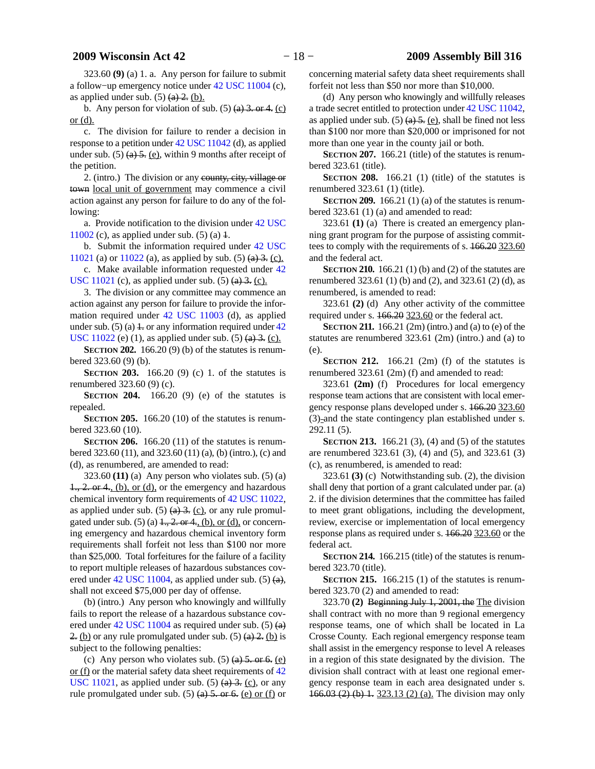323.60 **(9)** (a) 1. a. Any person for failure to submit a follow−up emergency notice under [42 USC 11004](https://docs.legis.wisconsin.gov/document/usc/42%20USC%2011004) (c), as applied under sub.  $(5)$   $(a)$   $2$ .  $(b)$ .

b. Any person for violation of sub.  $(5)$   $(a)$  3. or 4.  $(c)$ or (d).

c. The division for failure to render a decision in response to a petition under [42 USC 11042](https://docs.legis.wisconsin.gov/document/usc/42%20USC%2011042) (d), as applied under sub.  $(5)$  (a) 5. (e), within 9 months after receipt of the petition.

2. (intro.) The division or any county, city, village or town local unit of government may commence a civil action against any person for failure to do any of the following:

a. Provide notification to the division under [42 USC](https://docs.legis.wisconsin.gov/document/usc/42%20USC%2011002) [11002](https://docs.legis.wisconsin.gov/document/usc/42%20USC%2011002) (c), as applied under sub.  $(5)$  (a)  $\pm$ .

b. Submit the information required under [42 USC](https://docs.legis.wisconsin.gov/document/usc/42%20USC%2011021)

[11021](https://docs.legis.wisconsin.gov/document/usc/42%20USC%2011021) (a) or  $11022$  (a), as applied by sub. (5) (a) 3. (c). c. Make available information requested under [42](https://docs.legis.wisconsin.gov/document/usc/42%20USC%2011021)

[USC 11021](https://docs.legis.wisconsin.gov/document/usc/42%20USC%2011021) (c), as applied under sub.  $(5)$   $(a)$  3. (c).

3. The division or any committee may commence an action against any person for failure to provide the information required under [42 USC 11003](https://docs.legis.wisconsin.gov/document/usc/42%20USC%2011003) (d), as applied under sub. (5) (a)  $\pm$  or any information required under [42](https://docs.legis.wisconsin.gov/document/usc/42%20USC%2011022) [USC 11022](https://docs.legis.wisconsin.gov/document/usc/42%20USC%2011022) (e) (1), as applied under sub. (5)  $(a)$  3. (c).

**SECTION 202.** 166.20 (9) (b) of the statutes is renumbered 323.60 (9) (b).

**SECTION 203.** 166.20 (9) (c) 1. of the statutes is renumbered 323.60 (9) (c).

**SECTION 204.** 166.20 (9) (e) of the statutes is repealed.

**SECTION 205.** 166.20 (10) of the statutes is renumbered 323.60 (10).

**SECTION 206.** 166.20 (11) of the statutes is renumbered 323.60 (11), and 323.60 (11) (a), (b) (intro.), (c) and (d), as renumbered, are amended to read:

323.60 **(11)** (a) Any person who violates sub. (5) (a)  $1, 2$ . or 4, (b), or (d), or the emergency and hazardous chemical inventory form requirements of [42 USC 11022,](https://docs.legis.wisconsin.gov/document/usc/42%20USC%2011022) as applied under sub. (5)  $\left(\frac{a}{2}\right)$ ,  $\left(\frac{c}{2}\right)$ , or any rule promulgated under sub.  $(5)$  (a)  $1, 2$ , or  $4,$  (b), or (d), or concerning emergency and hazardous chemical inventory form requirements shall forfeit not less than \$100 nor more than \$25,000. Total forfeitures for the failure of a facility to report multiple releases of hazardous substances covered under  $42$  USC 11004, as applied under sub. (5)  $(a)$ , shall not exceed \$75,000 per day of offense.

(b) (intro.) Any person who knowingly and willfully fails to report the release of a hazardous substance covered under [42 USC 11004](https://docs.legis.wisconsin.gov/document/usc/42%20USC%2011004) as required under sub. (5) (a) 2. (b) or any rule promulgated under sub.  $(5)$   $(a)$  2. (b) is subject to the following penalties:

(c) Any person who violates sub.  $(5)$   $(a)$  5. or 6. (e) or (f) or the material safety data sheet requirements of [42](https://docs.legis.wisconsin.gov/document/usc/42%20USC%2011021) [USC 11021,](https://docs.legis.wisconsin.gov/document/usc/42%20USC%2011021) as applied under sub.  $(5)$   $(a)$   $3$ .  $(c)$ , or any rule promulgated under sub.  $(5)$  (a) 5. or 6. (e) or (f) or concerning material safety data sheet requirements shall forfeit not less than \$50 nor more than \$10,000.

(d) Any person who knowingly and willfully releases a trade secret entitled to protection under [42 USC 11042,](https://docs.legis.wisconsin.gov/document/usc/42%20USC%2011042) as applied under sub.  $(5)$  (a)  $\overline{5}$ . (e), shall be fined not less than \$100 nor more than \$20,000 or imprisoned for not more than one year in the county jail or both.

**SECTION 207.** 166.21 (title) of the statutes is renumbered 323.61 (title).

**SECTION 208.** 166.21 (1) (title) of the statutes is renumbered 323.61 (1) (title).

**SECTION 209.** 166.21 (1) (a) of the statutes is renumbered 323.61 (1) (a) and amended to read:

323.61 **(1)** (a) There is created an emergency planning grant program for the purpose of assisting committees to comply with the requirements of s.  $166.20$  323.60 and the federal act.

**SECTION 210.** 166.21 (1) (b) and (2) of the statutes are renumbered 323.61 (1) (b) and (2), and 323.61 (2) (d), as renumbered, is amended to read:

323.61 **(2)** (d) Any other activity of the committee required under s. 166.20 323.60 or the federal act.

**SECTION 211.** 166.21 (2m) (intro.) and (a) to (e) of the statutes are renumbered 323.61 (2m) (intro.) and (a) to (e).

**SECTION** 212.  $166.21$  (2m) (f) of the statutes is renumbered 323.61 (2m) (f) and amended to read:

323.61 **(2m)** (f) Procedures for local emergency response team actions that are consistent with local emergency response plans developed under s. 166.20 323.60  $(3)$ -and the state contingency plan established under s. 292.11 (5).

**SECTION 213.** 166.21 (3), (4) and (5) of the statutes are renumbered 323.61 (3), (4) and (5), and 323.61 (3) (c), as renumbered, is amended to read:

323.61 **(3)** (c) Notwithstanding sub. (2), the division shall deny that portion of a grant calculated under par. (a) 2. if the division determines that the committee has failed to meet grant obligations, including the development, review, exercise or implementation of local emergency response plans as required under s. 166.20 323.60 or the federal act.

**SECTION 214.** 166.215 (title) of the statutes is renumbered 323.70 (title).

**SECTION 215.** 166.215 (1) of the statutes is renumbered 323.70 (2) and amended to read:

323.70 **(2)** Beginning July 1, 2001, the The division shall contract with no more than 9 regional emergency response teams, one of which shall be located in La Crosse County. Each regional emergency response team shall assist in the emergency response to level A releases in a region of this state designated by the division. The division shall contract with at least one regional emergency response team in each area designated under s. 166.03 (2) (b) 1. 323.13 (2) (a). The division may only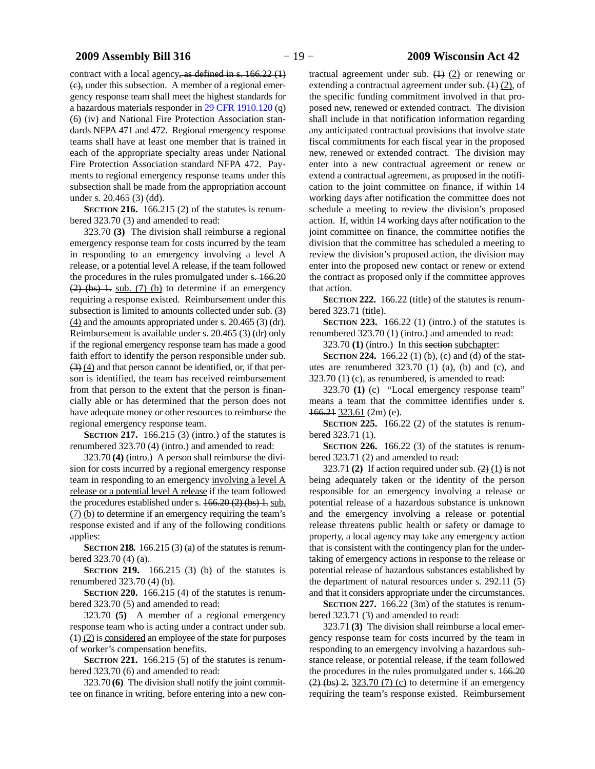contract with a local agency, as defined in s. 166.22 (1)  $(e)$ , under this subsection. A member of a regional emergency response team shall meet the highest standards for a hazardous materials responder in [29 CFR 1910.120](https://docs.legis.wisconsin.gov/document/cfr/29%20CFR%201910.120) (q) (6) (iv) and National Fire Protection Association standards NFPA 471 and 472. Regional emergency response teams shall have at least one member that is trained in each of the appropriate specialty areas under National Fire Protection Association standard NFPA 472. Payments to regional emergency response teams under this subsection shall be made from the appropriation account under s. 20.465 (3) (dd).

**SECTION 216.** 166.215 (2) of the statutes is renumbered 323.70 (3) and amended to read:

323.70 **(3)** The division shall reimburse a regional emergency response team for costs incurred by the team in responding to an emergency involving a level A release, or a potential level A release, if the team followed the procedures in the rules promulgated under s.  $166.20$  $(2)$  (bs) 1. sub. (7) (b) to determine if an emergency requiring a response existed. Reimbursement under this subsection is limited to amounts collected under sub. (3)  $(4)$  and the amounts appropriated under s. 20.465 (3) (dr). Reimbursement is available under s. 20.465 (3) (dr) only if the regional emergency response team has made a good faith effort to identify the person responsible under sub. (3) (4) and that person cannot be identified, or, if that person is identified, the team has received reimbursement from that person to the extent that the person is financially able or has determined that the person does not have adequate money or other resources to reimburse the regional emergency response team.

**SECTION 217.** 166.215 (3) (intro.) of the statutes is renumbered 323.70 (4) (intro.) and amended to read:

323.70 **(4)** (intro.) A person shall reimburse the division for costs incurred by a regional emergency response team in responding to an emergency involving a level A release or a potential level A release if the team followed the procedures established under s.  $166.20(2)(bs)$  1. sub. (7) (b) to determine if an emergency requiring the team's response existed and if any of the following conditions applies:

**SECTION 218.** 166.215 (3) (a) of the statutes is renumbered 323.70 (4) (a).

**SECTION 219.** 166.215 (3) (b) of the statutes is renumbered 323.70 (4) (b).

**SECTION 220.** 166.215 (4) of the statutes is renumbered 323.70 (5) and amended to read:

323.70 **(5)** A member of a regional emergency response team who is acting under a contract under sub. (1) (2) is considered an employee of the state for purposes of worker's compensation benefits.

**SECTION** 221. 166.215 (5) of the statutes is renumbered 323.70 (6) and amended to read:

323.70 **(6)** The division shall notify the joint committee on finance in writing, before entering into a new con-

tractual agreement under sub.  $(1)$   $(2)$  or renewing or extending a contractual agreement under sub.  $(1)$   $(2)$ , of the specific funding commitment involved in that proposed new, renewed or extended contract. The division shall include in that notification information regarding any anticipated contractual provisions that involve state fiscal commitments for each fiscal year in the proposed new, renewed or extended contract. The division may enter into a new contractual agreement or renew or extend a contractual agreement, as proposed in the notification to the joint committee on finance, if within 14 working days after notification the committee does not schedule a meeting to review the division's proposed action. If, within 14 working days after notification to the joint committee on finance, the committee notifies the division that the committee has scheduled a meeting to review the division's proposed action, the division may enter into the proposed new contact or renew or extend the contract as proposed only if the committee approves that action.

**SECTION 222.** 166.22 (title) of the statutes is renumbered 323.71 (title).

**SECTION 223.** 166.22 (1) (intro.) of the statutes is renumbered 323.70 (1) (intro.) and amended to read:

323.70 **(1)** (intro.) In this section subchapter:

**SECTION 224.** 166.22 (1) (b), (c) and (d) of the statutes are renumbered 323.70 (1) (a), (b) and (c), and 323.70 (1) (c), as renumbered, is amended to read:

323.70 **(1)** (c) "Local emergency response team" means a team that the committee identifies under s. 166.21 323.61 (2m) (e).

**SECTION 225.** 166.22 (2) of the statutes is renumbered 323.71 (1).

**SECTION** 226. 166.22 (3) of the statutes is renumbered 323.71 (2) and amended to read:

323.71 (2) If action required under sub.  $(2)$  (1) is not being adequately taken or the identity of the person responsible for an emergency involving a release or potential release of a hazardous substance is unknown and the emergency involving a release or potential release threatens public health or safety or damage to property, a local agency may take any emergency action that is consistent with the contingency plan for the undertaking of emergency actions in response to the release or potential release of hazardous substances established by the department of natural resources under s. 292.11 (5) and that it considers appropriate under the circumstances.

**SECTION 227.** 166.22 (3m) of the statutes is renumbered 323.71 (3) and amended to read:

323.71 **(3)** The division shall reimburse a local emergency response team for costs incurred by the team in responding to an emergency involving a hazardous substance release, or potential release, if the team followed the procedures in the rules promulgated under s. 166.20  $(2)$  (bs) 2. 323.70 (7) (c) to determine if an emergency requiring the team's response existed. Reimbursement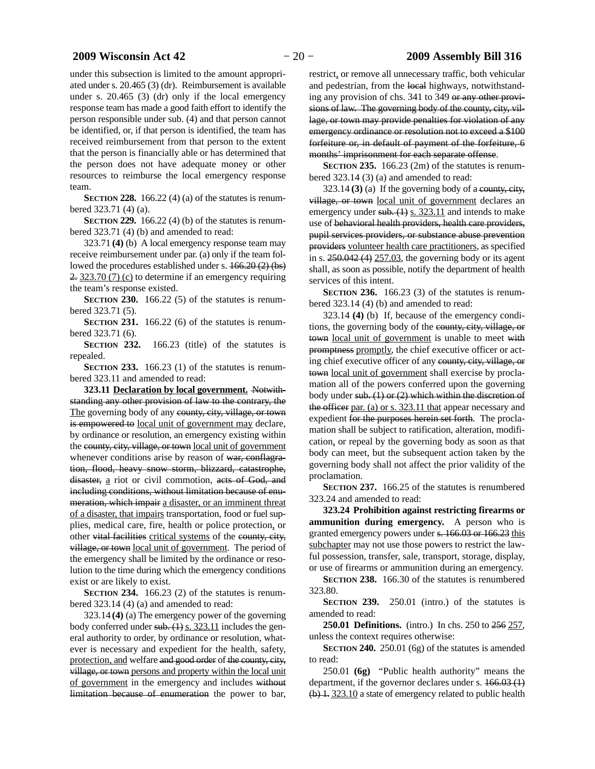under this subsection is limited to the amount appropriated under s. 20.465 (3) (dr). Reimbursement is available under s. 20.465 (3) (dr) only if the local emergency response team has made a good faith effort to identify the person responsible under sub. (4) and that person cannot be identified, or, if that person is identified, the team has received reimbursement from that person to the extent that the person is financially able or has determined that the person does not have adequate money or other resources to reimburse the local emergency response team.

**SECTION 228.** 166.22 (4) (a) of the statutes is renumbered 323.71 (4) (a).

**SECTION 229.** 166.22 (4) (b) of the statutes is renumbered 323.71 (4) (b) and amended to read:

323.71 **(4)** (b) A local emergency response team may receive reimbursement under par. (a) only if the team followed the procedures established under s. 166.20 (2) (bs) 2. 323.70 (7) (c) to determine if an emergency requiring the team's response existed.

**SECTION 230.** 166.22 (5) of the statutes is renumbered 323.71 (5).

**SECTION 231.** 166.22 (6) of the statutes is renumbered 323.71 (6).

**SECTION 232.** 166.23 (title) of the statutes is repealed.

**SECTION 233.** 166.23 (1) of the statutes is renumbered 323.11 and amended to read:

**323.11 Declaration by local government.** Notwithstanding any other provision of law to the contrary, the The governing body of any county, city, village, or town is empowered to local unit of government may declare, by ordinance or resolution, an emergency existing within the county, city, village, or town local unit of government whenever conditions arise by reason of war, conflagration, flood, heavy snow storm, blizzard, catastrophe, disaster, a riot or civil commotion, acts of God, and including conditions, without limitation because of enumeration, which impair a disaster, or an imminent threat of a disaster, that impairs transportation, food or fuel supplies, medical care, fire, health or police protection, or other vital facilities critical systems of the county, city, village, or town local unit of government. The period of the emergency shall be limited by the ordinance or resolution to the time during which the emergency conditions exist or are likely to exist.

**SECTION 234.** 166.23 (2) of the statutes is renumbered 323.14 (4) (a) and amended to read:

323.14 **(4)** (a) The emergency power of the governing body conferred under  $sub. (1)$  s. 323.11 includes the general authority to order, by ordinance or resolution, whatever is necessary and expedient for the health, safety, protection, and welfare and good order of the county, city, village, or town persons and property within the local unit of government in the emergency and includes without limitation because of enumeration the power to bar,

restrict, or remove all unnecessary traffic, both vehicular and pedestrian, from the local highways, notwithstanding any provision of chs. 341 to 349 or any other provisions of law. The governing body of the county, city, village, or town may provide penalties for violation of any emergency ordinance or resolution not to exceed a \$100 forfeiture or, in default of payment of the forfeiture, 6 months' imprisonment for each separate offense.

**SECTION 235.** 166.23 (2m) of the statutes is renumbered 323.14 (3) (a) and amended to read:

 $323.14$  (3) (a) If the governing body of a county, city, village, or town local unit of government declares an emergency under sub.  $(1)$  s. 323.11 and intends to make use of behavioral health providers, health care providers, pupil services providers, or substance abuse prevention providers volunteer health care practitioners, as specified in s.  $250.042(4) 257.03$ , the governing body or its agent shall, as soon as possible, notify the department of health services of this intent.

**SECTION 236.** 166.23 (3) of the statutes is renumbered 323.14 (4) (b) and amended to read:

323.14 **(4)** (b) If, because of the emergency conditions, the governing body of the county, city, village, or town local unit of government is unable to meet with promptness promptly, the chief executive officer or acting chief executive officer of any county, city, village, or town local unit of government shall exercise by proclamation all of the powers conferred upon the governing body under sub. (1) or (2) which within the discretion of the officer par. (a) or s. 323.11 that appear necessary and expedient for the purposes herein set forth. The proclamation shall be subject to ratification, alteration, modification, or repeal by the governing body as soon as that body can meet, but the subsequent action taken by the governing body shall not affect the prior validity of the proclamation.

**SECTION 237.** 166.25 of the statutes is renumbered 323.24 and amended to read:

**323.24 Prohibition against restricting firearms or ammunition during emergency.** A person who is granted emergency powers under s. 166.03 or 166.23 this subchapter may not use those powers to restrict the lawful possession, transfer, sale, transport, storage, display, or use of firearms or ammunition during an emergency.

**SECTION 238.** 166.30 of the statutes is renumbered 323.80.

**SECTION 239.** 250.01 (intro.) of the statutes is amended to read:

**250.01 Definitions.** (intro.) In chs. 250 to 256 257, unless the context requires otherwise:

**SECTION 240.** 250.01 (6g) of the statutes is amended to read:

250.01 **(6g)** "Public health authority" means the department, if the governor declares under s. 166.03 (1) (b) 1. 323.10 a state of emergency related to public health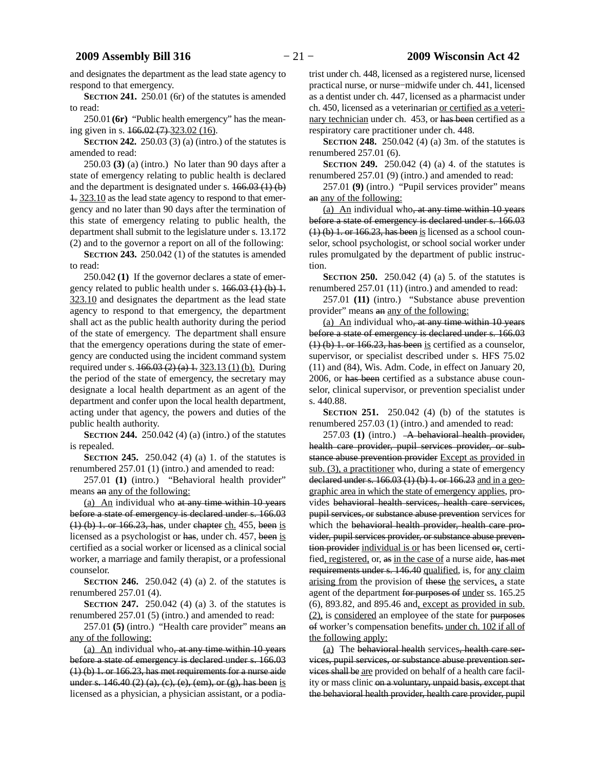and designates the department as the lead state agency to respond to that emergency.

**SECTION 241.** 250.01 (6r) of the statutes is amended to read:

250.01 **(6r)** "Public health emergency" has the meaning given in s. 166.02 (7) 323.02 (16).

**SECTION 242.** 250.03 (3) (a) (intro.) of the statutes is amended to read:

250.03 **(3)** (a) (intro.) No later than 90 days after a state of emergency relating to public health is declared and the department is designated under s. 166.03 (1) (b) 1. 323.10 as the lead state agency to respond to that emergency and no later than 90 days after the termination of this state of emergency relating to public health, the department shall submit to the legislature under s. 13.172 (2) and to the governor a report on all of the following:

**SECTION 243.** 250.042 (1) of the statutes is amended to read:

250.042 **(1)** If the governor declares a state of emergency related to public health under s.  $166.03$  (1) (b) 1. 323.10 and designates the department as the lead state agency to respond to that emergency, the department shall act as the public health authority during the period of the state of emergency. The department shall ensure that the emergency operations during the state of emergency are conducted using the incident command system required under s. 166.03 (2) (a) 1. 323.13 (1) (b). During the period of the state of emergency, the secretary may designate a local health department as an agent of the department and confer upon the local health department, acting under that agency, the powers and duties of the public health authority.

**SECTION 244.** 250.042 (4) (a) (intro.) of the statutes is repealed.

**SECTION 245.** 250.042 (4) (a) 1. of the statutes is renumbered 257.01 (1) (intro.) and amended to read:

257.01 **(1)** (intro.) "Behavioral health provider" means an any of the following:

(a) An individual who at any time within 10 years before a state of emergency is declared under s. 166.03 (1) (b) 1. or 166.23, has, under chapter ch. 455, been is licensed as a psychologist or has, under ch. 457, been is certified as a social worker or licensed as a clinical social worker, a marriage and family therapist, or a professional counselor.

**SECTION 246.** 250.042 (4) (a) 2. of the statutes is renumbered 257.01 (4).

**SECTION 247.** 250.042 (4) (a) 3. of the statutes is renumbered 257.01 (5) (intro.) and amended to read:

257.01 **(5)** (intro.) "Health care provider" means an any of the following:

(a) An individual who, at any time within 10 years before a state of emergency is declared under s. 166.03 (1) (b) 1. or 166.23, has met requirements for a nurse aide under s.  $146.40 (2) (a), (c), (e), (em), or (g), has been is$ licensed as a physician, a physician assistant, or a podiatrist under ch. 448, licensed as a registered nurse, licensed practical nurse, or nurse−midwife under ch. 441, licensed as a dentist under ch. 447, licensed as a pharmacist under ch. 450, licensed as a veterinarian or certified as a veterinary technician under ch. 453, or has been certified as a respiratory care practitioner under ch. 448.

**SECTION 248.** 250.042 (4) (a) 3m. of the statutes is renumbered 257.01 (6).

**SECTION 249.** 250.042 (4) (a) 4. of the statutes is renumbered 257.01 (9) (intro.) and amended to read:

257.01 **(9)** (intro.) "Pupil services provider" means an any of the following:

(a) An individual who, at any time within 10 years before a state of emergency is declared under s. 166.03  $(1)$  (b) 1. or 166.23, has been is licensed as a school counselor, school psychologist, or school social worker under rules promulgated by the department of public instruction.

**SECTION** 250. 250.042 (4) (a) 5. of the statutes is renumbered 257.01 (11) (intro.) and amended to read:

257.01 **(11)** (intro.) "Substance abuse prevention provider" means an any of the following:

(a) An individual who, at any time within 10 years before a state of emergency is declared under s. 166.03  $(1)$  (b) 1. or 166.23, has been is certified as a counselor, supervisor, or specialist described under s. HFS 75.02 (11) and (84), Wis. Adm. Code, in effect on January 20, 2006, or has been certified as a substance abuse counselor, clinical supervisor, or prevention specialist under s. 440.88.

**SECTION 251.** 250.042 (4) (b) of the statutes is renumbered 257.03 (1) (intro.) and amended to read:

257.03 (1) (intro.) A behavioral health provider, health care provider, pupil services provider, or substance abuse prevention provider Except as provided in sub. (3), a practitioner who, during a state of emergency declared under s. 166.03 (1) (b) 1. or 166.23 and in a geographic area in which the state of emergency applies, provides behavioral health services, health care services, pupil services, or substance abuse prevention services for which the behavioral health provider, health care provider, pupil services provider, or substance abuse prevention provider individual is or has been licensed or, certified, registered, or, as in the case of a nurse aide, has met requirements under s. 146.40 qualified, is, for any claim arising from the provision of these the services, a state agent of the department for purposes of under ss. 165.25 (6), 893.82, and 895.46 and, except as provided in sub. (2), is considered an employee of the state for purposes of worker's compensation benefits. under ch. 102 if all of the following apply:

(a) The behavioral health services, health care services, pupil services, or substance abuse prevention services shall be are provided on behalf of a health care facility or mass clinic on a voluntary, unpaid basis, except that the behavioral health provider, health care provider, pupil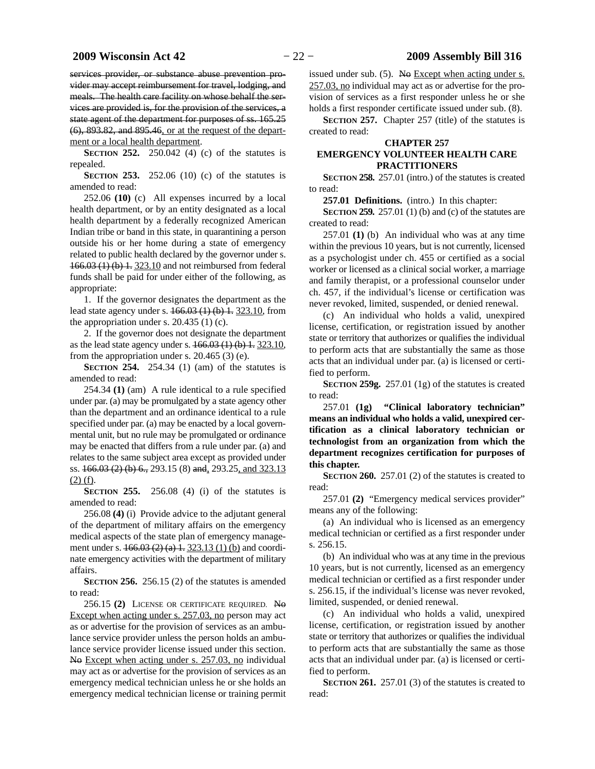services provider, or substance abuse prevention provider may accept reimbursement for travel, lodging, and meals. The health care facility on whose behalf the services are provided is, for the provision of the services, a state agent of the department for purposes of ss. 165.25 (6), 893.82, and 895.46, or at the request of the department or a local health department.

**SECTION 252.** 250.042 (4) (c) of the statutes is repealed.

**SECTION 253.** 252.06 (10) (c) of the statutes is amended to read:

252.06 **(10)** (c) All expenses incurred by a local health department, or by an entity designated as a local health department by a federally recognized American Indian tribe or band in this state, in quarantining a person outside his or her home during a state of emergency related to public health declared by the governor under s. 166.03 (1) (b) 1. 323.10 and not reimbursed from federal funds shall be paid for under either of the following, as appropriate:

1. If the governor designates the department as the lead state agency under s. 166.03 (1) (b) 1. 323.10, from the appropriation under s.  $20.435(1)(c)$ .

2. If the governor does not designate the department as the lead state agency under s. 166.03 (1) (b) 1. 323.10, from the appropriation under s. 20.465 (3) (e).

**SECTION 254.** 254.34 (1) (am) of the statutes is amended to read:

254.34 **(1)** (am) A rule identical to a rule specified under par. (a) may be promulgated by a state agency other than the department and an ordinance identical to a rule specified under par. (a) may be enacted by a local governmental unit, but no rule may be promulgated or ordinance may be enacted that differs from a rule under par. (a) and relates to the same subject area except as provided under ss. 166.03 (2) (b) 6., 293.15 (8) and, 293.25, and 323.13 (2) (f).

**SECTION 255.** 256.08 (4) (i) of the statutes is amended to read:

256.08 **(4)** (i) Provide advice to the adjutant general of the department of military affairs on the emergency medical aspects of the state plan of emergency management under s. 466.03 (2) (a) 1. 323.13 (1) (b) and coordinate emergency activities with the department of military affairs.

**SECTION 256.** 256.15 (2) of the statutes is amended to read:

256.15 **(2)** LICENSE OR CERTIFICATE REQUIRED. No Except when acting under s. 257.03, no person may act as or advertise for the provision of services as an ambulance service provider unless the person holds an ambulance service provider license issued under this section. No Except when acting under s. 257.03, no individual may act as or advertise for the provision of services as an emergency medical technician unless he or she holds an emergency medical technician license or training permit

issued under sub.  $(5)$ . No Except when acting under s. 257.03, no individual may act as or advertise for the provision of services as a first responder unless he or she holds a first responder certificate issued under sub. (8).

**SECTION 257.** Chapter 257 (title) of the statutes is created to read:

### **CHAPTER 257 EMERGENCY VOLUNTEER HEALTH CARE PRACTITIONERS**

**SECTION 258.** 257.01 (intro.) of the statutes is created to read:

**257.01 Definitions.** (intro.) In this chapter:

**SECTION 259.** 257.01 (1) (b) and (c) of the statutes are created to read:

257.01 **(1)** (b) An individual who was at any time within the previous 10 years, but is not currently, licensed as a psychologist under ch. 455 or certified as a social worker or licensed as a clinical social worker, a marriage and family therapist, or a professional counselor under ch. 457, if the individual's license or certification was never revoked, limited, suspended, or denied renewal.

(c) An individual who holds a valid, unexpired license, certification, or registration issued by another state or territory that authorizes or qualifies the individual to perform acts that are substantially the same as those acts that an individual under par. (a) is licensed or certified to perform.

**SECTION 259g.** 257.01 (1g) of the statutes is created to read:

257.01 **(1g) "Clinical laboratory technician" means an individual who holds a valid, unexpired certification as a clinical laboratory technician or technologist from an organization from which the department recognizes certification for purposes of this chapter.**

**SECTION 260.** 257.01 (2) of the statutes is created to read:

257.01 **(2)** "Emergency medical services provider" means any of the following:

(a) An individual who is licensed as an emergency medical technician or certified as a first responder under s. 256.15.

(b) An individual who was at any time in the previous 10 years, but is not currently, licensed as an emergency medical technician or certified as a first responder under s. 256.15, if the individual's license was never revoked, limited, suspended, or denied renewal.

(c) An individual who holds a valid, unexpired license, certification, or registration issued by another state or territory that authorizes or qualifies the individual to perform acts that are substantially the same as those acts that an individual under par. (a) is licensed or certified to perform.

**SECTION 261.** 257.01 (3) of the statutes is created to read: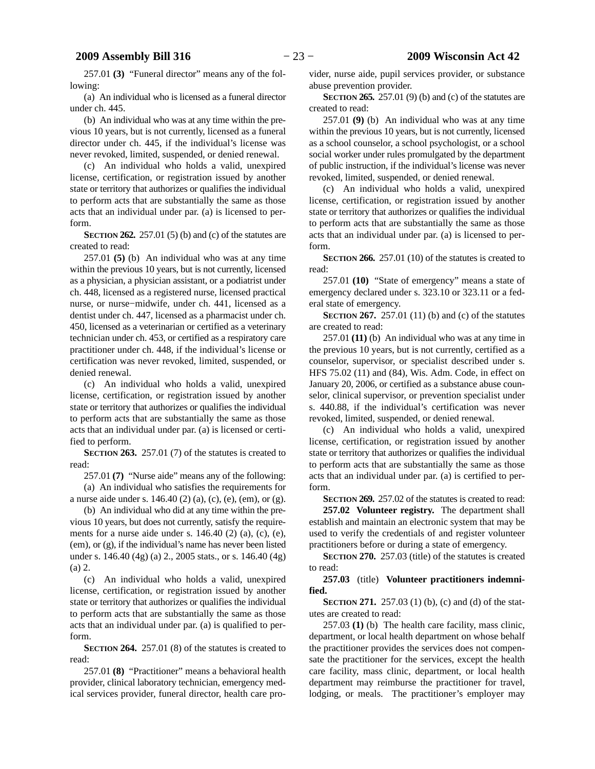257.01 **(3)** "Funeral director" means any of the following:

(a) An individual who is licensed as a funeral director under ch. 445.

(b) An individual who was at any time within the previous 10 years, but is not currently, licensed as a funeral director under ch. 445, if the individual's license was never revoked, limited, suspended, or denied renewal.

(c) An individual who holds a valid, unexpired license, certification, or registration issued by another state or territory that authorizes or qualifies the individual to perform acts that are substantially the same as those acts that an individual under par. (a) is licensed to perform.

**SECTION 262.** 257.01 (5) (b) and (c) of the statutes are created to read:

257.01 **(5)** (b) An individual who was at any time within the previous 10 years, but is not currently, licensed as a physician, a physician assistant, or a podiatrist under ch. 448, licensed as a registered nurse, licensed practical nurse, or nurse−midwife, under ch. 441, licensed as a dentist under ch. 447, licensed as a pharmacist under ch. 450, licensed as a veterinarian or certified as a veterinary technician under ch. 453, or certified as a respiratory care practitioner under ch. 448, if the individual's license or certification was never revoked, limited, suspended, or denied renewal.

(c) An individual who holds a valid, unexpired license, certification, or registration issued by another state or territory that authorizes or qualifies the individual to perform acts that are substantially the same as those acts that an individual under par. (a) is licensed or certified to perform.

**SECTION 263.** 257.01 (7) of the statutes is created to read:

257.01 **(7)** "Nurse aide" means any of the following: (a) An individual who satisfies the requirements for a nurse aide under s. 146.40 (2) (a), (c), (e), (em), or (g).

(b) An individual who did at any time within the previous 10 years, but does not currently, satisfy the requirements for a nurse aide under s. 146.40 (2) (a), (c), (e), (em), or (g), if the individual's name has never been listed under s. 146.40 (4g) (a) 2., 2005 stats., or s. 146.40 (4g) (a) 2.

(c) An individual who holds a valid, unexpired license, certification, or registration issued by another state or territory that authorizes or qualifies the individual to perform acts that are substantially the same as those acts that an individual under par. (a) is qualified to perform.

**SECTION 264.** 257.01 (8) of the statutes is created to read:

257.01 **(8)** "Practitioner" means a behavioral health provider, clinical laboratory technician, emergency medical services provider, funeral director, health care provider, nurse aide, pupil services provider, or substance abuse prevention provider.

**SECTION 265.** 257.01 (9) (b) and (c) of the statutes are created to read:

257.01 **(9)** (b) An individual who was at any time within the previous 10 years, but is not currently, licensed as a school counselor, a school psychologist, or a school social worker under rules promulgated by the department of public instruction, if the individual's license was never revoked, limited, suspended, or denied renewal.

(c) An individual who holds a valid, unexpired license, certification, or registration issued by another state or territory that authorizes or qualifies the individual to perform acts that are substantially the same as those acts that an individual under par. (a) is licensed to perform.

**SECTION 266.** 257.01 (10) of the statutes is created to read:

257.01 **(10)** "State of emergency" means a state of emergency declared under s. 323.10 or 323.11 or a federal state of emergency.

**SECTION 267.** 257.01 (11) (b) and (c) of the statutes are created to read:

257.01 **(11)** (b) An individual who was at any time in the previous 10 years, but is not currently, certified as a counselor, supervisor, or specialist described under s. HFS 75.02 (11) and (84), Wis. Adm. Code, in effect on January 20, 2006, or certified as a substance abuse counselor, clinical supervisor, or prevention specialist under s. 440.88, if the individual's certification was never revoked, limited, suspended, or denied renewal.

(c) An individual who holds a valid, unexpired license, certification, or registration issued by another state or territory that authorizes or qualifies the individual to perform acts that are substantially the same as those acts that an individual under par. (a) is certified to perform.

**SECTION 269.** 257.02 of the statutes is created to read: **257.02 Volunteer registry.** The department shall establish and maintain an electronic system that may be used to verify the credentials of and register volunteer practitioners before or during a state of emergency.

**SECTION 270.** 257.03 (title) of the statutes is created to read:

**257.03** (title) **Volunteer practitioners indemnified.**

**SECTION 271.** 257.03 (1) (b), (c) and (d) of the statutes are created to read:

257.03 **(1)** (b) The health care facility, mass clinic, department, or local health department on whose behalf the practitioner provides the services does not compensate the practitioner for the services, except the health care facility, mass clinic, department, or local health department may reimburse the practitioner for travel, lodging, or meals. The practitioner's employer may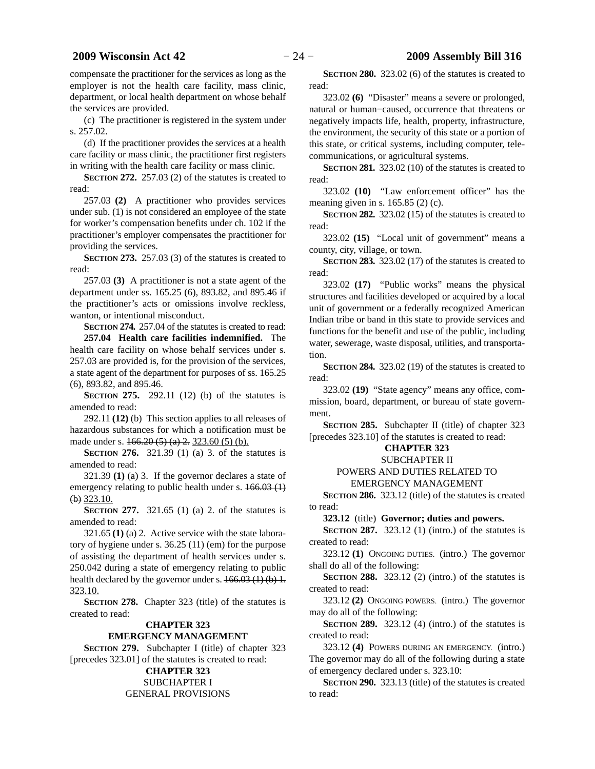compensate the practitioner for the services as long as the employer is not the health care facility, mass clinic, department, or local health department on whose behalf the services are provided.

(c) The practitioner is registered in the system under s. 257.02.

(d) If the practitioner provides the services at a health care facility or mass clinic, the practitioner first registers in writing with the health care facility or mass clinic.

**SECTION** 272. 257.03 (2) of the statutes is created to read:

257.03 **(2)** A practitioner who provides services under sub. (1) is not considered an employee of the state for worker's compensation benefits under ch. 102 if the practitioner's employer compensates the practitioner for providing the services.

**SECTION** 273. 257.03 (3) of the statutes is created to read:

257.03 **(3)** A practitioner is not a state agent of the department under ss. 165.25 (6), 893.82, and 895.46 if the practitioner's acts or omissions involve reckless, wanton, or intentional misconduct.

**SECTION** 274. 257.04 of the statutes is created to read:

**257.04 Health care facilities indemnified.** The health care facility on whose behalf services under s. 257.03 are provided is, for the provision of the services, a state agent of the department for purposes of ss. 165.25 (6), 893.82, and 895.46.

**SECTION 275.** 292.11 (12) (b) of the statutes is amended to read:

292.11 **(12)** (b) This section applies to all releases of hazardous substances for which a notification must be made under s. 166.20 (5) (a) 2. 323.60 (5) (b).

**SECTION 276.** 321.39 (1) (a) 3. of the statutes is amended to read:

321.39 **(1)** (a) 3. If the governor declares a state of emergency relating to public health under s.  $166.03(1)$ (b) 323.10.

**SECTION 277.** 321.65 (1) (a) 2. of the statutes is amended to read:

321.65 **(1)** (a) 2. Active service with the state laboratory of hygiene under s. 36.25 (11) (em) for the purpose of assisting the department of health services under s. 250.042 during a state of emergency relating to public health declared by the governor under s.  $166.03(1)(b)$  1. 323.10.

**SECTION 278.** Chapter 323 (title) of the statutes is created to read:

### **CHAPTER 323**

### **EMERGENCY MANAGEMENT**

**SECTION 279.** Subchapter I (title) of chapter 323 [precedes 323.01] of the statutes is created to read:

# **CHAPTER 323**

SUBCHAPTER I GENERAL PROVISIONS

**SECTION 280.** 323.02 (6) of the statutes is created to read:

323.02 **(6)** "Disaster" means a severe or prolonged, natural or human−caused, occurrence that threatens or negatively impacts life, health, property, infrastructure, the environment, the security of this state or a portion of this state, or critical systems, including computer, telecommunications, or agricultural systems.

**SECTION 281.** 323.02 (10) of the statutes is created to read:

323.02 **(10)** "Law enforcement officer" has the meaning given in s. 165.85 (2) (c).

**SECTION 282.** 323.02 (15) of the statutes is created to read:

323.02 **(15)** "Local unit of government" means a county, city, village, or town.

**SECTION 283.** 323.02 (17) of the statutes is created to read:

323.02 **(17)** "Public works" means the physical structures and facilities developed or acquired by a local unit of government or a federally recognized American Indian tribe or band in this state to provide services and functions for the benefit and use of the public, including water, sewerage, waste disposal, utilities, and transportation.

**SECTION 284.** 323.02 (19) of the statutes is created to read:

323.02 **(19)** "State agency" means any office, commission, board, department, or bureau of state government.

**SECTION 285.** Subchapter II (title) of chapter 323 [precedes 323.10] of the statutes is created to read:

# **CHAPTER 323**

# SUBCHAPTER II

POWERS AND DUTIES RELATED TO

# EMERGENCY MANAGEMENT

**SECTION 286.** 323.12 (title) of the statutes is created to read:

**323.12** (title) **Governor; duties and powers.**

**SECTION 287.** 323.12 (1) (intro.) of the statutes is created to read:

323.12 **(1)** ONGOING DUTIES. (intro.) The governor shall do all of the following:

**SECTION 288.** 323.12 (2) (intro.) of the statutes is created to read:

323.12 **(2)** ONGOING POWERS. (intro.) The governor may do all of the following:

**SECTION 289.** 323.12 (4) (intro.) of the statutes is created to read:

323.12 **(4)** POWERS DURING AN EMERGENCY. (intro.) The governor may do all of the following during a state of emergency declared under s. 323.10:

**SECTION 290.** 323.13 (title) of the statutes is created to read: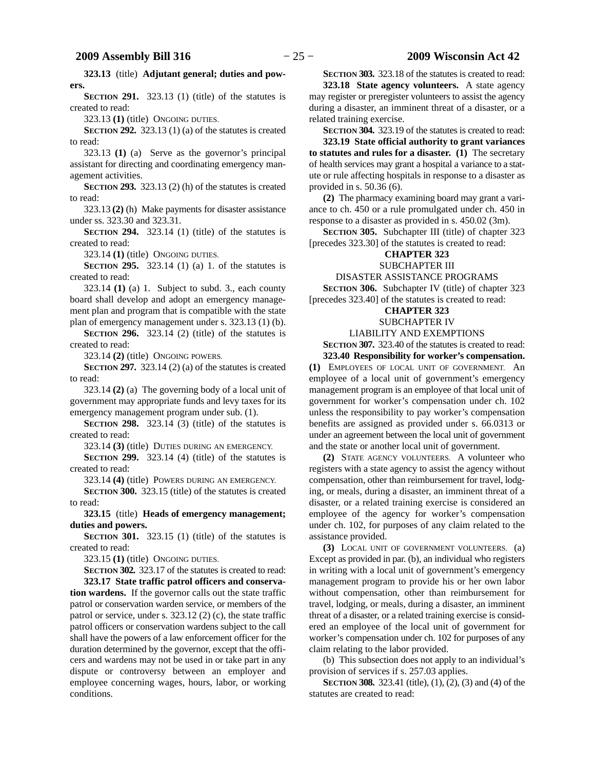**323.13** (title) **Adjutant general; duties and powers.**

**SECTION 291.** 323.13 (1) (title) of the statutes is created to read:

323.13 **(1)** (title) ONGOING DUTIES.

**SECTION 292.** 323.13 (1) (a) of the statutes is created to read:

323.13 **(1)** (a) Serve as the governor's principal assistant for directing and coordinating emergency management activities.

**SECTION 293.** 323.13 (2) (h) of the statutes is created to read:

323.13 **(2)** (h) Make payments for disaster assistance under ss. 323.30 and 323.31.

**SECTION 294.** 323.14 (1) (title) of the statutes is created to read:

323.14 **(1)** (title) ONGOING DUTIES.

**SECTION 295.** 323.14 (1) (a) 1. of the statutes is created to read:

323.14 **(1)** (a) 1. Subject to subd. 3., each county board shall develop and adopt an emergency management plan and program that is compatible with the state plan of emergency management under s. 323.13 (1) (b).

**SECTION 296.** 323.14 (2) (title) of the statutes is created to read:

323.14 **(2)** (title) ONGOING POWERS.

**SECTION 297.** 323.14 (2) (a) of the statutes is created to read:

323.14 **(2)** (a) The governing body of a local unit of government may appropriate funds and levy taxes for its emergency management program under sub. (1).

**SECTION 298.** 323.14 (3) (title) of the statutes is created to read:

323.14 **(3)** (title) DUTIES DURING AN EMERGENCY.

**SECTION 299.** 323.14 (4) (title) of the statutes is created to read:

323.14 **(4)** (title) POWERS DURING AN EMERGENCY.

**SECTION 300.** 323.15 (title) of the statutes is created to read:

**323.15** (title) **Heads of emergency management; duties and powers.**

**SECTION 301.** 323.15 (1) (title) of the statutes is created to read:

323.15 **(1)** (title) ONGOING DUTIES.

**SECTION 302.** 323.17 of the statutes is created to read:

**323.17 State traffic patrol officers and conservation wardens.** If the governor calls out the state traffic patrol or conservation warden service, or members of the patrol or service, under s. 323.12 (2) (c), the state traffic patrol officers or conservation wardens subject to the call shall have the powers of a law enforcement officer for the duration determined by the governor, except that the officers and wardens may not be used in or take part in any dispute or controversy between an employer and employee concerning wages, hours, labor, or working conditions.

**SECTION 303.** 323.18 of the statutes is created to read: **323.18 State agency volunteers.** A state agency may register or preregister volunteers to assist the agency during a disaster, an imminent threat of a disaster, or a related training exercise.

**SECTION 304.** 323.19 of the statutes is created to read: **323.19 State official authority to grant variances to statutes and rules for a disaster. (1)** The secretary of health services may grant a hospital a variance to a statute or rule affecting hospitals in response to a disaster as provided in s. 50.36 (6).

**(2)** The pharmacy examining board may grant a variance to ch. 450 or a rule promulgated under ch. 450 in response to a disaster as provided in s. 450.02 (3m).

**SECTION 305.** Subchapter III (title) of chapter 323 [precedes 323.30] of the statutes is created to read:

# **CHAPTER 323**

SUBCHAPTER III

# DISASTER ASSISTANCE PROGRAMS

**SECTION 306.** Subchapter IV (title) of chapter 323 [precedes 323.40] of the statutes is created to read:

### **CHAPTER 323**

### SUBCHAPTER IV

LIABILITY AND EXEMPTIONS

## **SECTION 307.** 323.40 of the statutes is created to read:

**323.40 Responsibility for worker's compensation.**

**(1)** EMPLOYEES OF LOCAL UNIT OF GOVERNMENT. An employee of a local unit of government's emergency management program is an employee of that local unit of government for worker's compensation under ch. 102 unless the responsibility to pay worker's compensation benefits are assigned as provided under s. 66.0313 or under an agreement between the local unit of government and the state or another local unit of government.

**(2)** STATE AGENCY VOLUNTEERS. A volunteer who registers with a state agency to assist the agency without compensation, other than reimbursement for travel, lodging, or meals, during a disaster, an imminent threat of a disaster, or a related training exercise is considered an employee of the agency for worker's compensation under ch. 102, for purposes of any claim related to the assistance provided.

**(3)** LOCAL UNIT OF GOVERNMENT VOLUNTEERS. (a) Except as provided in par. (b), an individual who registers in writing with a local unit of government's emergency management program to provide his or her own labor without compensation, other than reimbursement for travel, lodging, or meals, during a disaster, an imminent threat of a disaster, or a related training exercise is considered an employee of the local unit of government for worker's compensation under ch. 102 for purposes of any claim relating to the labor provided.

(b) This subsection does not apply to an individual's provision of services if s. 257.03 applies.

**SECTION 308.** 323.41 (title), (1), (2), (3) and (4) of the statutes are created to read: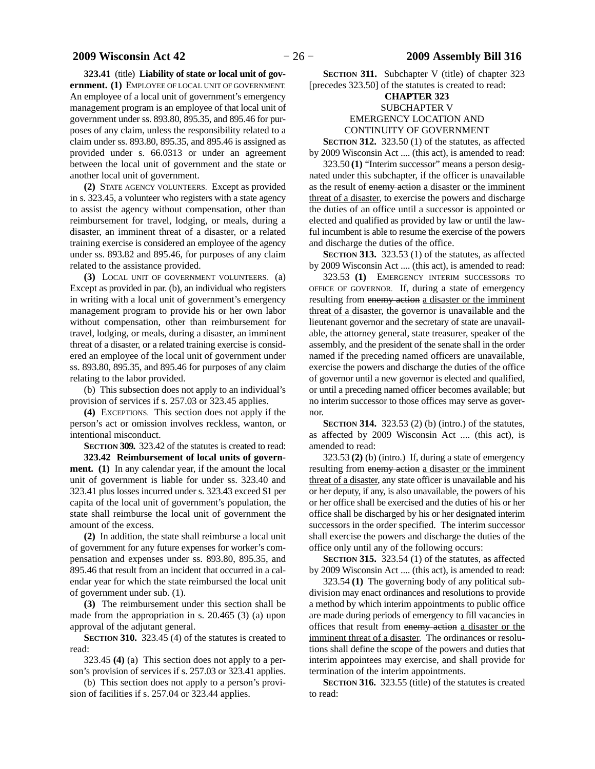#### **323.41** (title) **Liability of state or local unit of gov-**

**ernment. (1)** EMPLOYEE OF LOCAL UNIT OF GOVERNMENT. An employee of a local unit of government's emergency management program is an employee of that local unit of government under ss. 893.80, 895.35, and 895.46 for purposes of any claim, unless the responsibility related to a claim under ss. 893.80, 895.35, and 895.46 is assigned as provided under s. 66.0313 or under an agreement between the local unit of government and the state or another local unit of government.

**(2)** STATE AGENCY VOLUNTEERS. Except as provided in s. 323.45, a volunteer who registers with a state agency to assist the agency without compensation, other than reimbursement for travel, lodging, or meals, during a disaster, an imminent threat of a disaster, or a related training exercise is considered an employee of the agency under ss. 893.82 and 895.46, for purposes of any claim related to the assistance provided.

**(3)** LOCAL UNIT OF GOVERNMENT VOLUNTEERS. (a) Except as provided in par. (b), an individual who registers in writing with a local unit of government's emergency management program to provide his or her own labor without compensation, other than reimbursement for travel, lodging, or meals, during a disaster, an imminent threat of a disaster, or a related training exercise is considered an employee of the local unit of government under ss. 893.80, 895.35, and 895.46 for purposes of any claim relating to the labor provided.

(b) This subsection does not apply to an individual's provision of services if s. 257.03 or 323.45 applies.

**(4)** EXCEPTIONS. This section does not apply if the person's act or omission involves reckless, wanton, or intentional misconduct.

**SECTION 309.** 323.42 of the statutes is created to read:

**323.42 Reimbursement of local units of government. (1)** In any calendar year, if the amount the local unit of government is liable for under ss. 323.40 and 323.41 plus losses incurred under s. 323.43 exceed \$1 per capita of the local unit of government's population, the state shall reimburse the local unit of government the amount of the excess.

**(2)** In addition, the state shall reimburse a local unit of government for any future expenses for worker's compensation and expenses under ss. 893.80, 895.35, and 895.46 that result from an incident that occurred in a calendar year for which the state reimbursed the local unit of government under sub. (1).

**(3)** The reimbursement under this section shall be made from the appropriation in s. 20.465 (3) (a) upon approval of the adjutant general.

**SECTION 310.** 323.45 (4) of the statutes is created to read:

323.45 **(4)** (a) This section does not apply to a person's provision of services if s. 257.03 or 323.41 applies.

(b) This section does not apply to a person's provision of facilities if s. 257.04 or 323.44 applies.

**SECTION 311.** Subchapter V (title) of chapter 323 [precedes 323.50] of the statutes is created to read:

### **CHAPTER 323**

### SUBCHAPTER V EMERGENCY LOCATION AND CONTINUITY OF GOVERNMENT

**SECTION 312.** 323.50 (1) of the statutes, as affected by 2009 Wisconsin Act .... (this act), is amended to read:

323.50 **(1)** "Interim successor" means a person designated under this subchapter, if the officer is unavailable as the result of enemy action a disaster or the imminent threat of a disaster, to exercise the powers and discharge the duties of an office until a successor is appointed or elected and qualified as provided by law or until the lawful incumbent is able to resume the exercise of the powers and discharge the duties of the office.

**SECTION 313.** 323.53 (1) of the statutes, as affected by 2009 Wisconsin Act .... (this act), is amended to read:

323.53 **(1)** EMERGENCY INTERIM SUCCESSORS TO OFFICE OF GOVERNOR. If, during a state of emergency resulting from enemy action a disaster or the imminent threat of a disaster, the governor is unavailable and the lieutenant governor and the secretary of state are unavailable, the attorney general, state treasurer, speaker of the assembly, and the president of the senate shall in the order named if the preceding named officers are unavailable, exercise the powers and discharge the duties of the office of governor until a new governor is elected and qualified, or until a preceding named officer becomes available; but no interim successor to those offices may serve as governor.

**SECTION 314.** 323.53 (2) (b) (intro.) of the statutes, as affected by 2009 Wisconsin Act .... (this act), is amended to read:

323.53 **(2)** (b) (intro.) If, during a state of emergency resulting from enemy action a disaster or the imminent threat of a disaster, any state officer is unavailable and his or her deputy, if any, is also unavailable, the powers of his or her office shall be exercised and the duties of his or her office shall be discharged by his or her designated interim successors in the order specified. The interim successor shall exercise the powers and discharge the duties of the office only until any of the following occurs:

**SECTION 315.** 323.54 (1) of the statutes, as affected by 2009 Wisconsin Act .... (this act), is amended to read:

323.54 **(1)** The governing body of any political subdivision may enact ordinances and resolutions to provide a method by which interim appointments to public office are made during periods of emergency to fill vacancies in offices that result from enemy action a disaster or the imminent threat of a disaster. The ordinances or resolutions shall define the scope of the powers and duties that interim appointees may exercise, and shall provide for termination of the interim appointments.

**SECTION 316.** 323.55 (title) of the statutes is created to read: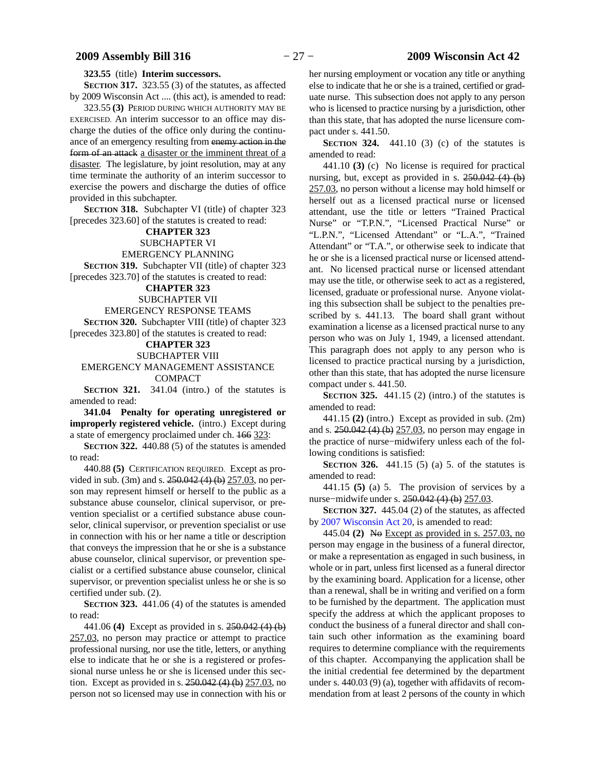#### **323.55** (title) **Interim successors.**

**SECTION 317.** 323.55 (3) of the statutes, as affected by 2009 Wisconsin Act .... (this act), is amended to read:

323.55 **(3)** PERIOD DURING WHICH AUTHORITY MAY BE EXERCISED. An interim successor to an office may discharge the duties of the office only during the continuance of an emergency resulting from enemy action in the form of an attack a disaster or the imminent threat of a disaster. The legislature, by joint resolution, may at any time terminate the authority of an interim successor to exercise the powers and discharge the duties of office provided in this subchapter.

**SECTION 318.** Subchapter VI (title) of chapter 323 [precedes 323.60] of the statutes is created to read:

#### **CHAPTER 323**

SUBCHAPTER VI

EMERGENCY PLANNING

**SECTION 319.** Subchapter VII (title) of chapter 323 [precedes 323.70] of the statutes is created to read:

# **CHAPTER 323**

SUBCHAPTER VII

EMERGENCY RESPONSE TEAMS

**SECTION 320.** Subchapter VIII (title) of chapter 323 [precedes 323.80] of the statutes is created to read:

#### **CHAPTER 323**

SUBCHAPTER VIII

#### EMERGENCY MANAGEMENT ASSISTANCE COMPACT

**SECTION 321.** 341.04 (intro.) of the statutes is amended to read:

**341.04 Penalty for operating unregistered or improperly registered vehicle.** (intro.) Except during a state of emergency proclaimed under ch. 166 323:

**SECTION 322.** 440.88 (5) of the statutes is amended to read:

440.88 **(5)** CERTIFICATION REQUIRED. Except as provided in sub. (3m) and s. 250.042 (4) (b) 257.03, no person may represent himself or herself to the public as a substance abuse counselor, clinical supervisor, or prevention specialist or a certified substance abuse counselor, clinical supervisor, or prevention specialist or use in connection with his or her name a title or description that conveys the impression that he or she is a substance abuse counselor, clinical supervisor, or prevention specialist or a certified substance abuse counselor, clinical supervisor, or prevention specialist unless he or she is so certified under sub. (2).

**SECTION 323.** 441.06 (4) of the statutes is amended to read:

441.06 **(4)** Except as provided in s. 250.042 (4) (b) 257.03, no person may practice or attempt to practice professional nursing, nor use the title, letters, or anything else to indicate that he or she is a registered or professional nurse unless he or she is licensed under this section. Except as provided in s. 250.042 (4) (b) 257.03, no person not so licensed may use in connection with his or

her nursing employment or vocation any title or anything else to indicate that he or she is a trained, certified or graduate nurse. This subsection does not apply to any person who is licensed to practice nursing by a jurisdiction, other than this state, that has adopted the nurse licensure compact under s. 441.50.

**SECTION 324.** 441.10 (3) (c) of the statutes is amended to read:

441.10 **(3)** (c) No license is required for practical nursing, but, except as provided in s. 250.042 (4) (b) 257.03, no person without a license may hold himself or herself out as a licensed practical nurse or licensed attendant, use the title or letters "Trained Practical Nurse" or "T.P.N.", "Licensed Practical Nurse" or "L.P.N.", "Licensed Attendant" or "L.A.", "Trained Attendant" or "T.A.", or otherwise seek to indicate that he or she is a licensed practical nurse or licensed attendant. No licensed practical nurse or licensed attendant may use the title, or otherwise seek to act as a registered, licensed, graduate or professional nurse. Anyone violating this subsection shall be subject to the penalties prescribed by s. 441.13. The board shall grant without examination a license as a licensed practical nurse to any person who was on July 1, 1949, a licensed attendant. This paragraph does not apply to any person who is licensed to practice practical nursing by a jurisdiction, other than this state, that has adopted the nurse licensure compact under s. 441.50.

**SECTION 325.** 441.15 (2) (intro.) of the statutes is amended to read:

441.15 **(2)** (intro.) Except as provided in sub. (2m) and s. 250.042 (4) (b) 257.03, no person may engage in the practice of nurse−midwifery unless each of the following conditions is satisfied:

**SECTION 326.** 441.15 (5) (a) 5. of the statutes is amended to read:

441.15 **(5)** (a) 5. The provision of services by a nurse−midwife under s. 250.042 (4) (b) 257.03.

**SECTION 327.** 445.04 (2) of the statutes, as affected by [2007 Wisconsin Act 20](https://docs.legis.wisconsin.gov/document/acts/2007/20), is amended to read:

445.04 **(2)** No Except as provided in s. 257.03, no person may engage in the business of a funeral director, or make a representation as engaged in such business, in whole or in part, unless first licensed as a funeral director by the examining board. Application for a license, other than a renewal, shall be in writing and verified on a form to be furnished by the department. The application must specify the address at which the applicant proposes to conduct the business of a funeral director and shall contain such other information as the examining board requires to determine compliance with the requirements of this chapter. Accompanying the application shall be the initial credential fee determined by the department under s. 440.03 (9) (a), together with affidavits of recommendation from at least 2 persons of the county in which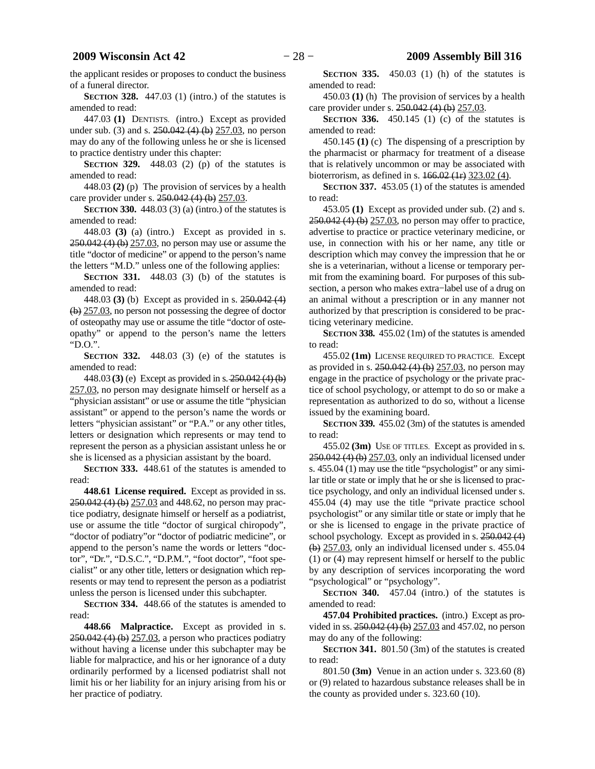the applicant resides or proposes to conduct the business of a funeral director.

**SECTION 328.** 447.03 (1) (intro.) of the statutes is amended to read:

447.03 **(1)** DENTISTS. (intro.) Except as provided under sub. (3) and s. 250.042 (4) (b) 257.03, no person may do any of the following unless he or she is licensed to practice dentistry under this chapter:

**SECTION 329.** 448.03 (2) (p) of the statutes is amended to read:

448.03 **(2)** (p) The provision of services by a health care provider under s. 250.042 (4) (b) 257.03.

**SECTION** 330. 448.03 (3) (a) (intro.) of the statutes is amended to read:

448.03 **(3)** (a) (intro.) Except as provided in s. 250.042 (4) (b) 257.03, no person may use or assume the title "doctor of medicine" or append to the person's name the letters "M.D." unless one of the following applies:

**SECTION** 331. 448.03 (3) (b) of the statutes is amended to read:

448.03 **(3)** (b) Except as provided in s. 250.042 (4) (b) 257.03, no person not possessing the degree of doctor of osteopathy may use or assume the title "doctor of osteopathy" or append to the person's name the letters "D.O.".

**SECTION 332.** 448.03 (3) (e) of the statutes is amended to read:

448.03 **(3)** (e) Except as provided in s. 250.042 (4) (b) 257.03, no person may designate himself or herself as a "physician assistant" or use or assume the title "physician assistant" or append to the person's name the words or letters "physician assistant" or "P.A." or any other titles, letters or designation which represents or may tend to represent the person as a physician assistant unless he or she is licensed as a physician assistant by the board.

**SECTION 333.** 448.61 of the statutes is amended to read:

**448.61 License required.** Except as provided in ss. 250.042 (4) (b) 257.03 and 448.62, no person may practice podiatry, designate himself or herself as a podiatrist, use or assume the title "doctor of surgical chiropody", "doctor of podiatry"or "doctor of podiatric medicine", or append to the person's name the words or letters "doctor", "Dr.", "D.S.C.", "D.P.M.", "foot doctor", "foot specialist" or any other title, letters or designation which represents or may tend to represent the person as a podiatrist unless the person is licensed under this subchapter.

**SECTION 334.** 448.66 of the statutes is amended to read:

**448.66 Malpractice.** Except as provided in s. 250.042 (4) (b) 257.03, a person who practices podiatry without having a license under this subchapter may be liable for malpractice, and his or her ignorance of a duty ordinarily performed by a licensed podiatrist shall not limit his or her liability for an injury arising from his or her practice of podiatry.

**SECTION 335.** 450.03 (1) (h) of the statutes is amended to read:

450.03 **(1)** (h) The provision of services by a health care provider under s. 250.042 (4) (b) 257.03.

**SECTION 336.** 450.145 (1) (c) of the statutes is amended to read:

450.145 **(1)** (c) The dispensing of a prescription by the pharmacist or pharmacy for treatment of a disease that is relatively uncommon or may be associated with bioterrorism, as defined in s. 166.02 (1r) 323.02 (4).

**SECTION 337.** 453.05 (1) of the statutes is amended to read:

453.05 **(1)** Except as provided under sub. (2) and s. 250.042 (4) (b) 257.03, no person may offer to practice, advertise to practice or practice veterinary medicine, or use, in connection with his or her name, any title or description which may convey the impression that he or she is a veterinarian, without a license or temporary permit from the examining board. For purposes of this subsection, a person who makes extra−label use of a drug on an animal without a prescription or in any manner not authorized by that prescription is considered to be practicing veterinary medicine.

**SECTION 338.** 455.02 (1m) of the statutes is amended to read:

455.02 **(1m)** LICENSE REQUIRED TO PRACTICE. Except as provided in s. 250.042 (4) (b) 257.03, no person may engage in the practice of psychology or the private practice of school psychology, or attempt to do so or make a representation as authorized to do so, without a license issued by the examining board.

**SECTION 339.** 455.02 (3m) of the statutes is amended to read:

455.02 **(3m)** USE OF TITLES. Except as provided in s. 250.042 (4) (b) 257.03, only an individual licensed under s. 455.04 (1) may use the title "psychologist" or any similar title or state or imply that he or she is licensed to practice psychology, and only an individual licensed under s. 455.04 (4) may use the title "private practice school psychologist" or any similar title or state or imply that he or she is licensed to engage in the private practice of school psychology. Except as provided in s. 250.042 (4)  $(b)$  257.03, only an individual licensed under s. 455.04 (1) or (4) may represent himself or herself to the public by any description of services incorporating the word "psychological" or "psychology".

**SECTION 340.** 457.04 (intro.) of the statutes is amended to read:

**457.04 Prohibited practices.** (intro.) Except as provided in ss. 250.042 (4) (b) 257.03 and 457.02, no person may do any of the following:

**SECTION 341.** 801.50 (3m) of the statutes is created to read:

801.50 **(3m)** Venue in an action under s. 323.60 (8) or (9) related to hazardous substance releases shall be in the county as provided under s. 323.60 (10).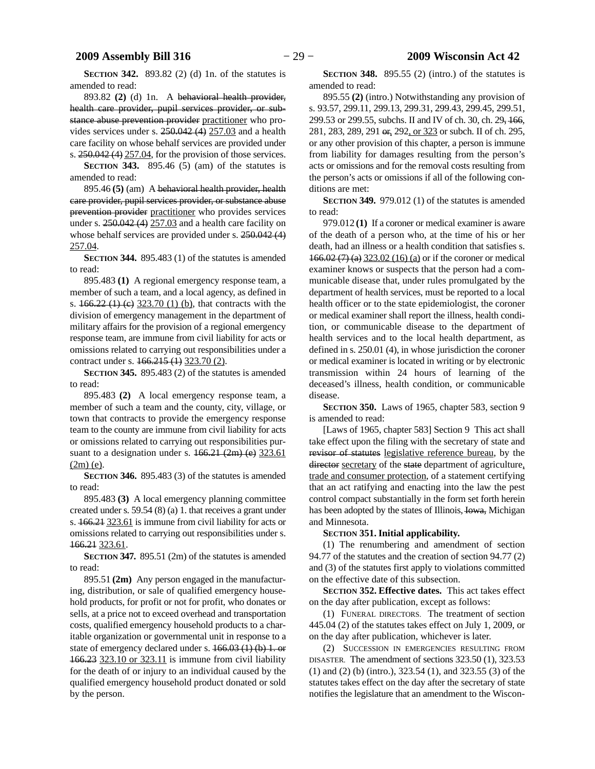**SECTION 342.** 893.82 (2) (d) 1n. of the statutes is amended to read:

893.82 **(2)** (d) 1n. A behavioral health provider, health care provider, pupil services provider, or substance abuse prevention provider practitioner who provides services under s. 250.042 (4) 257.03 and a health care facility on whose behalf services are provided under s.  $250.042$  (4)  $257.04$ , for the provision of those services.

**SECTION 343.** 895.46 (5) (am) of the statutes is amended to read:

895.46 **(5)** (am) A behavioral health provider, health care provider, pupil services provider, or substance abuse prevention provider practitioner who provides services under s.  $250.042(4)$   $257.03$  and a health care facility on whose behalf services are provided under s. 250.042 (4) 257.04.

**SECTION 344.** 895.483 (1) of the statutes is amended to read:

895.483 **(1)** A regional emergency response team, a member of such a team, and a local agency, as defined in s.  $166.22$  (1) (e)  $323.70$  (1) (b), that contracts with the division of emergency management in the department of military affairs for the provision of a regional emergency response team, are immune from civil liability for acts or omissions related to carrying out responsibilities under a contract under s. 166.215 (1) 323.70 (2).

**SECTION 345.** 895.483 (2) of the statutes is amended to read:

895.483 **(2)** A local emergency response team, a member of such a team and the county, city, village, or town that contracts to provide the emergency response team to the county are immune from civil liability for acts or omissions related to carrying out responsibilities pursuant to a designation under s.  $166.21$  (2m) (e)  $323.61$ (2m) (e).

**SECTION 346.** 895.483 (3) of the statutes is amended to read:

895.483 **(3)** A local emergency planning committee created under s. 59.54 (8) (a) 1. that receives a grant under s. 166.21 323.61 is immune from civil liability for acts or omissions related to carrying out responsibilities under s. 166.21 323.61.

**SECTION 347.** 895.51 (2m) of the statutes is amended to read:

895.51 **(2m)** Any person engaged in the manufacturing, distribution, or sale of qualified emergency household products, for profit or not for profit, who donates or sells, at a price not to exceed overhead and transportation costs, qualified emergency household products to a charitable organization or governmental unit in response to a state of emergency declared under s. 166.03 (1) (b) 1. or 166.23 323.10 or 323.11 is immune from civil liability for the death of or injury to an individual caused by the qualified emergency household product donated or sold by the person.

**SECTION 348.** 895.55 (2) (intro.) of the statutes is amended to read:

895.55 **(2)** (intro.) Notwithstanding any provision of s. 93.57, 299.11, 299.13, 299.31, 299.43, 299.45, 299.51, 299.53 or 299.55, subchs. II and IV of ch. 30, ch. 29, 166, 281, 283, 289, 291 or, 292, or 323 or subch. II of ch. 295, or any other provision of this chapter, a person is immune from liability for damages resulting from the person's acts or omissions and for the removal costs resulting from the person's acts or omissions if all of the following conditions are met:

**SECTION 349.** 979.012 (1) of the statutes is amended to read:

979.012 **(1)** If a coroner or medical examiner is aware of the death of a person who, at the time of his or her death, had an illness or a health condition that satisfies s. 166.02 (7) (a) 323.02 (16) (a) or if the coroner or medical examiner knows or suspects that the person had a communicable disease that, under rules promulgated by the department of health services, must be reported to a local health officer or to the state epidemiologist, the coroner or medical examiner shall report the illness, health condition, or communicable disease to the department of health services and to the local health department, as defined in s. 250.01 (4), in whose jurisdiction the coroner or medical examiner is located in writing or by electronic transmission within 24 hours of learning of the deceased's illness, health condition, or communicable disease.

**SECTION 350.** Laws of 1965, chapter 583, section 9 is amended to read:

[Laws of 1965, chapter 583] Section 9 This act shall take effect upon the filing with the secretary of state and revisor of statutes legislative reference bureau, by the director secretary of the state department of agriculture, trade and consumer protection, of a statement certifying that an act ratifying and enacting into the law the pest control compact substantially in the form set forth herein has been adopted by the states of Illinois, Iowa, Michigan and Minnesota.

#### **SECTION 351.**0**Initial applicability.**

(1) The renumbering and amendment of section 94.77 of the statutes and the creation of section 94.77 (2) and (3) of the statutes first apply to violations committed on the effective date of this subsection.

**SECTION 352.**0**Effective dates.** This act takes effect on the day after publication, except as follows:

(1) FUNERAL DIRECTORS. The treatment of section 445.04 (2) of the statutes takes effect on July 1, 2009, or on the day after publication, whichever is later.

(2) SUCCESSION IN EMERGENCIES RESULTING FROM DISASTER. The amendment of sections 323.50 (1), 323.53 (1) and (2) (b) (intro.), 323.54 (1), and 323.55 (3) of the statutes takes effect on the day after the secretary of state notifies the legislature that an amendment to the Wiscon-